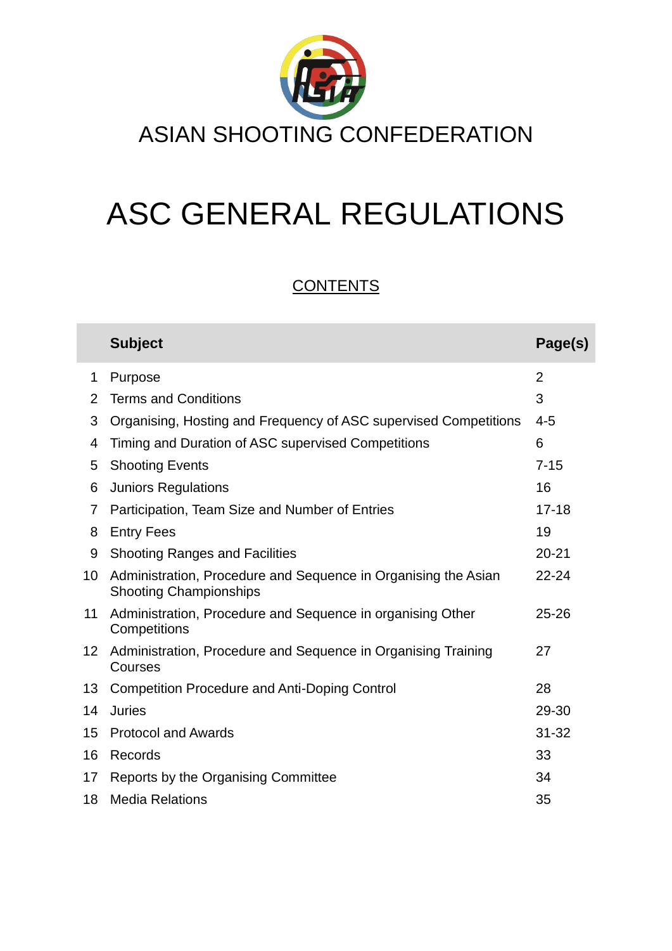

# ASC GENERAL REGULATIONS

# **CONTENTS**

|                 | <b>Subject</b>                                                                                  | Page(s)        |
|-----------------|-------------------------------------------------------------------------------------------------|----------------|
| 1               | Purpose                                                                                         | $\overline{2}$ |
| 2               | <b>Terms and Conditions</b>                                                                     | 3              |
| 3               | Organising, Hosting and Frequency of ASC supervised Competitions                                | $4 - 5$        |
| 4               | Timing and Duration of ASC supervised Competitions                                              | 6              |
| 5               | <b>Shooting Events</b>                                                                          | $7 - 15$       |
| 6               | <b>Juniors Regulations</b>                                                                      | 16             |
| 7               | Participation, Team Size and Number of Entries                                                  | $17 - 18$      |
| 8               | <b>Entry Fees</b>                                                                               | 19             |
| 9               | <b>Shooting Ranges and Facilities</b>                                                           | $20 - 21$      |
| 10              | Administration, Procedure and Sequence in Organising the Asian<br><b>Shooting Championships</b> | $22 - 24$      |
| 11              | Administration, Procedure and Sequence in organising Other<br>Competitions                      | $25 - 26$      |
| 12 <sup>°</sup> | Administration, Procedure and Sequence in Organising Training<br>Courses                        | 27             |
| 13              | <b>Competition Procedure and Anti-Doping Control</b>                                            | 28             |
| 14              | <b>Juries</b>                                                                                   | 29-30          |
| 15              | <b>Protocol and Awards</b>                                                                      | $31 - 32$      |
| 16              | Records                                                                                         | 33             |
| 17              | Reports by the Organising Committee                                                             | 34             |
| 18              | <b>Media Relations</b>                                                                          | 35             |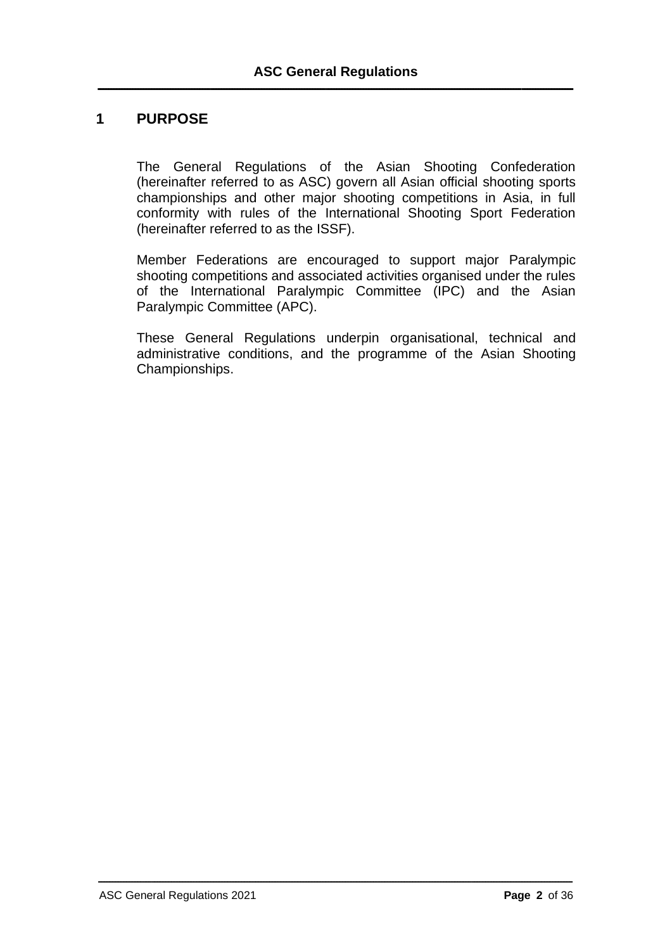## **1 PURPOSE**

The General Regulations of the Asian Shooting Confederation (hereinafter referred to as ASC) govern all Asian official shooting sports championships and other major shooting competitions in Asia, in full conformity with rules of the International Shooting Sport Federation (hereinafter referred to as the ISSF).

Member Federations are encouraged to support major Paralympic shooting competitions and associated activities organised under the rules of the International Paralympic Committee (IPC) and the Asian Paralympic Committee (APC).

These General Regulations underpin organisational, technical and administrative conditions, and the programme of the Asian Shooting Championships.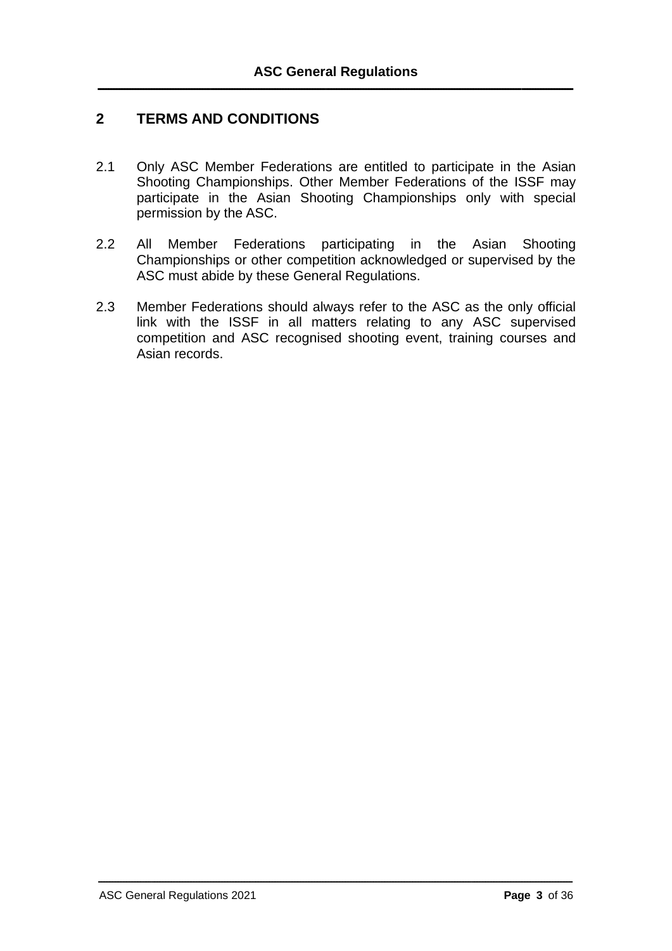# **2 TERMS AND CONDITIONS**

- 2.1 Only ASC Member Federations are entitled to participate in the Asian Shooting Championships. Other Member Federations of the ISSF may participate in the Asian Shooting Championships only with special permission by the ASC.
- 2.2 All Member Federations participating in the Asian Shooting Championships or other competition acknowledged or supervised by the ASC must abide by these General Regulations.
- 2.3 Member Federations should always refer to the ASC as the only official link with the ISSF in all matters relating to any ASC supervised competition and ASC recognised shooting event, training courses and Asian records.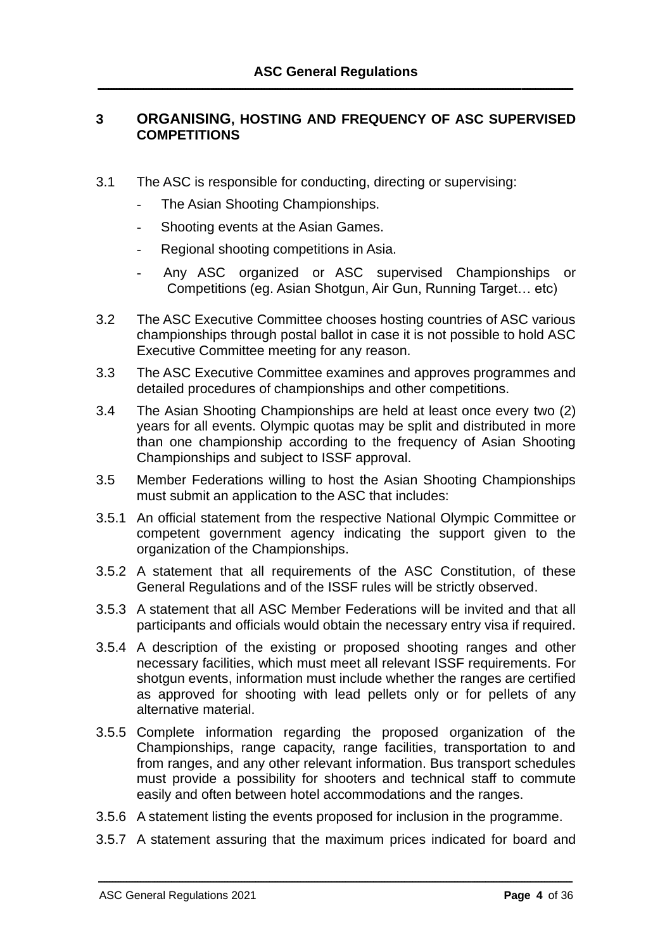#### **3 ORGANISING, HOSTING AND FREQUENCY OF ASC SUPERVISED COMPETITIONS**

- 3.1 The ASC is responsible for conducting, directing or supervising:
	- The Asian Shooting Championships.
	- Shooting events at the Asian Games.
	- Regional shooting competitions in Asia.
	- Any ASC organized or ASC supervised Championships or Competitions (eg. Asian Shotgun, Air Gun, Running Target… etc)
- 3.2 The ASC Executive Committee chooses hosting countries of ASC various championships through postal ballot in case it is not possible to hold ASC Executive Committee meeting for any reason.
- 3.3 The ASC Executive Committee examines and approves programmes and detailed procedures of championships and other competitions.
- 3.4 The Asian Shooting Championships are held at least once every two (2) years for all events. Olympic quotas may be split and distributed in more than one championship according to the frequency of Asian Shooting Championships and subject to ISSF approval.
- 3.5 Member Federations willing to host the Asian Shooting Championships must submit an application to the ASC that includes:
- 3.5.1 An official statement from the respective National Olympic Committee or competent government agency indicating the support given to the organization of the Championships.
- 3.5.2 A statement that all requirements of the ASC Constitution, of these General Regulations and of the ISSF rules will be strictly observed.
- 3.5.3 A statement that all ASC Member Federations will be invited and that all participants and officials would obtain the necessary entry visa if required.
- 3.5.4 A description of the existing or proposed shooting ranges and other necessary facilities, which must meet all relevant ISSF requirements. For shotgun events, information must include whether the ranges are certified as approved for shooting with lead pellets only or for pellets of any alternative material.
- 3.5.5 Complete information regarding the proposed organization of the Championships, range capacity, range facilities, transportation to and from ranges, and any other relevant information. Bus transport schedules must provide a possibility for shooters and technical staff to commute easily and often between hotel accommodations and the ranges.
- 3.5.6 A statement listing the events proposed for inclusion in the programme.
- 3.5.7 A statement assuring that the maximum prices indicated for board and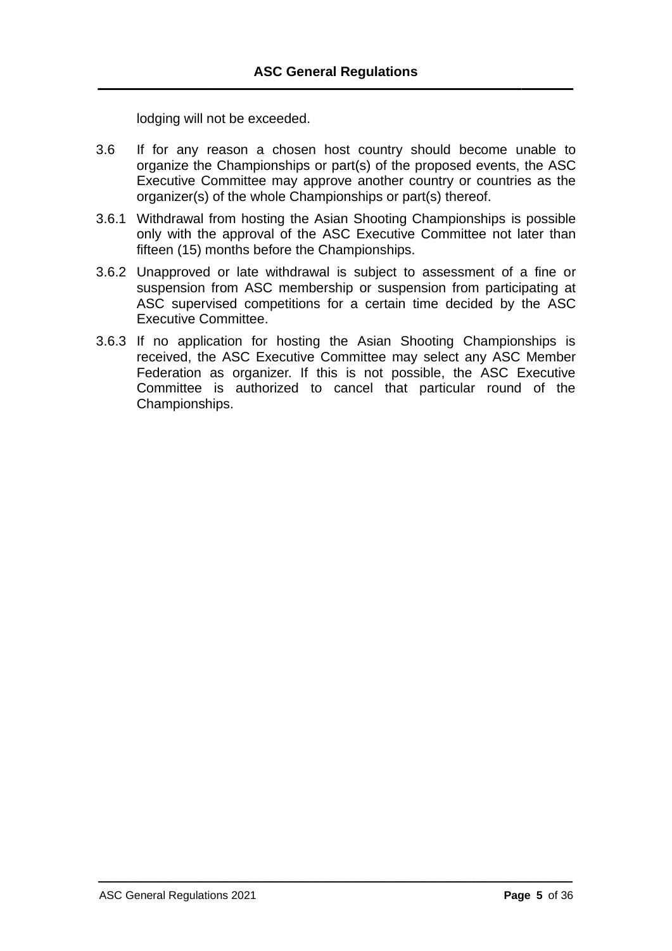lodging will not be exceeded.

- 3.6 If for any reason a chosen host country should become unable to organize the Championships or part(s) of the proposed events, the ASC Executive Committee may approve another country or countries as the organizer(s) of the whole Championships or part(s) thereof.
- 3.6.1 Withdrawal from hosting the Asian Shooting Championships is possible only with the approval of the ASC Executive Committee not later than fifteen (15) months before the Championships.
- 3.6.2 Unapproved or late withdrawal is subject to assessment of a fine or suspension from ASC membership or suspension from participating at ASC supervised competitions for a certain time decided by the ASC Executive Committee.
- 3.6.3 If no application for hosting the Asian Shooting Championships is received, the ASC Executive Committee may select any ASC Member Federation as organizer. If this is not possible, the ASC Executive Committee is authorized to cancel that particular round of the Championships.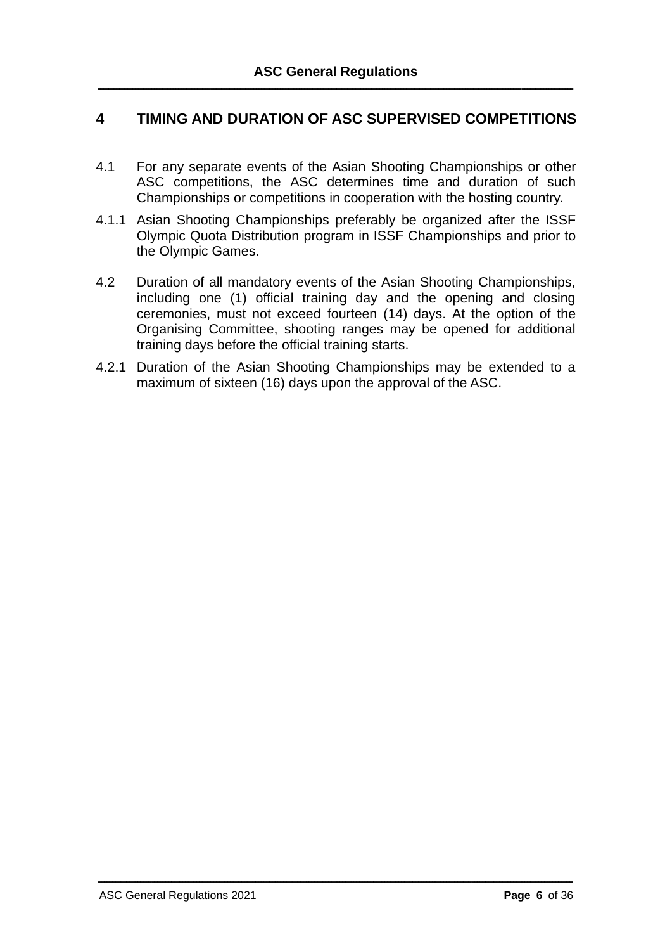# **4 TIMING AND DURATION OF ASC SUPERVISED COMPETITIONS**

- 4.1 For any separate events of the Asian Shooting Championships or other ASC competitions, the ASC determines time and duration of such Championships or competitions in cooperation with the hosting country.
- 4.1.1 Asian Shooting Championships preferably be organized after the ISSF Olympic Quota Distribution program in ISSF Championships and prior to the Olympic Games.
- 4.2 Duration of all mandatory events of the Asian Shooting Championships, including one (1) official training day and the opening and closing ceremonies, must not exceed fourteen (14) days. At the option of the Organising Committee, shooting ranges may be opened for additional training days before the official training starts.
- 4.2.1 Duration of the Asian Shooting Championships may be extended to a maximum of sixteen (16) days upon the approval of the ASC.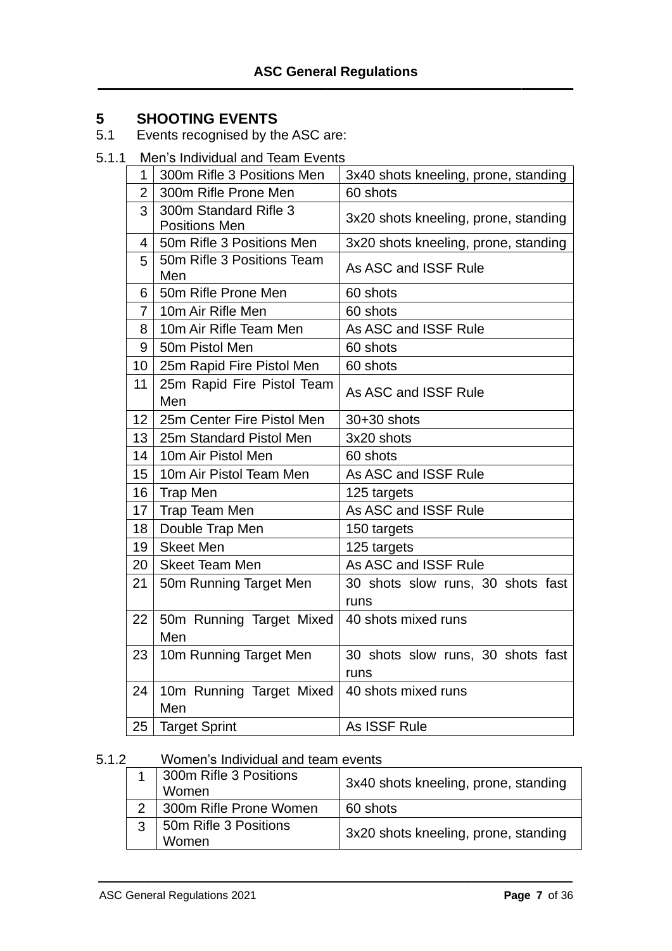# **SHOOTING EVENTS**

- 5.1 Events recognised by the ASC are:
- 5.1.1 Men's Individual and Team Events

| $\mathbf{1}$    | 300m Rifle 3 Positions Men                    | 3x40 shots kneeling, prone, standing |  |  |
|-----------------|-----------------------------------------------|--------------------------------------|--|--|
| $\overline{2}$  | 300m Rifle Prone Men                          | 60 shots                             |  |  |
| 3               | 300m Standard Rifle 3<br><b>Positions Men</b> | 3x20 shots kneeling, prone, standing |  |  |
| 4               | 50m Rifle 3 Positions Men                     | 3x20 shots kneeling, prone, standing |  |  |
| 5               | 50m Rifle 3 Positions Team<br>Men             | As ASC and ISSF Rule                 |  |  |
| 6               | 50m Rifle Prone Men                           | 60 shots                             |  |  |
| 7               | 10m Air Rifle Men                             | 60 shots                             |  |  |
| 8               | 10m Air Rifle Team Men                        | As ASC and ISSF Rule                 |  |  |
| 9               | 50m Pistol Men                                | 60 shots                             |  |  |
| 10 <sup>°</sup> | 25m Rapid Fire Pistol Men                     | 60 shots                             |  |  |
| 11              | 25m Rapid Fire Pistol Team<br>Men             | As ASC and ISSF Rule                 |  |  |
| 12              | 25m Center Fire Pistol Men                    | 30+30 shots                          |  |  |
| 13              | 25m Standard Pistol Men                       | 3x20 shots                           |  |  |
| 14              | 10m Air Pistol Men                            | 60 shots                             |  |  |
| 15              | 10m Air Pistol Team Men                       | As ASC and ISSF Rule                 |  |  |
| 16              | <b>Trap Men</b>                               | 125 targets                          |  |  |
| 17              | Trap Team Men                                 | As ASC and ISSF Rule                 |  |  |
| 18              | Double Trap Men                               | 150 targets                          |  |  |
| 19              | <b>Skeet Men</b>                              | 125 targets                          |  |  |
| 20              | <b>Skeet Team Men</b>                         | As ASC and ISSF Rule                 |  |  |
| 21              | 50m Running Target Men                        | 30 shots slow runs, 30 shots fast    |  |  |
|                 |                                               | runs                                 |  |  |
| 22              | 50m Running Target Mixed<br>Men               | 40 shots mixed runs                  |  |  |
| 23              | 10m Running Target Men                        | 30 shots slow runs, 30 shots fast    |  |  |
|                 |                                               | runs                                 |  |  |
| 24              | 10m Running Target Mixed<br>Men               | 40 shots mixed runs                  |  |  |
| 25              | <b>Target Sprint</b>                          | As ISSF Rule                         |  |  |

## 5.1.2 Women's Individual and team events

|               | 1 300m Rifle 3 Positions<br>Women | 3x40 shots kneeling, prone, standing |
|---------------|-----------------------------------|--------------------------------------|
| $\mathcal{P}$ | 300m Rifle Prone Women            | 60 shots                             |
| 3             | 50m Rifle 3 Positions<br>Women    | 3x20 shots kneeling, prone, standing |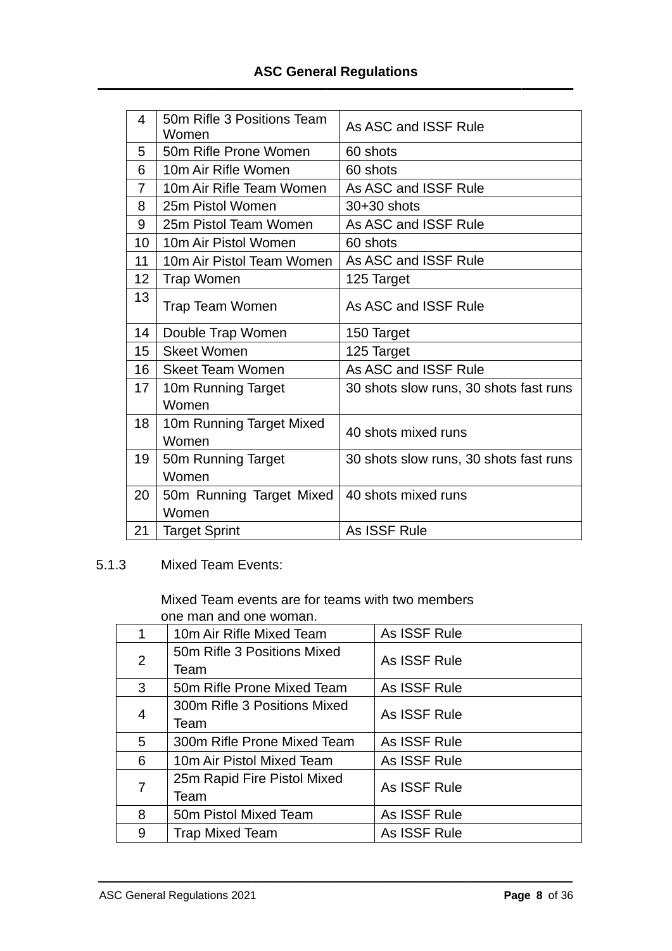| 4  | 50m Rifle 3 Positions Team<br>Women | As ASC and ISSF Rule                   |
|----|-------------------------------------|----------------------------------------|
| 5  | 50m Rifle Prone Women               | 60 shots                               |
| 6  | 10m Air Rifle Women                 | 60 shots                               |
| 7  | 10m Air Rifle Team Women            | As ASC and ISSF Rule                   |
| 8  | 25m Pistol Women                    | 30+30 shots                            |
| 9  | 25m Pistol Team Women               | As ASC and ISSF Rule                   |
| 10 | 10m Air Pistol Women                | 60 shots                               |
| 11 | 10m Air Pistol Team Women           | As ASC and ISSF Rule                   |
| 12 | <b>Trap Women</b>                   | 125 Target                             |
| 13 | <b>Trap Team Women</b>              | As ASC and ISSF Rule                   |
| 14 | Double Trap Women                   | 150 Target                             |
| 15 | <b>Skeet Women</b>                  | 125 Target                             |
| 16 | <b>Skeet Team Women</b>             | As ASC and ISSF Rule                   |
| 17 | 10m Running Target                  | 30 shots slow runs, 30 shots fast runs |
|    |                                     |                                        |
|    | Women                               |                                        |
| 18 | 10m Running Target Mixed            |                                        |
|    | Women                               | 40 shots mixed runs                    |
| 19 | 50m Running Target                  | 30 shots slow runs, 30 shots fast runs |
|    | Women                               |                                        |
| 20 | 50m Running Target Mixed            | 40 shots mixed runs                    |
|    | Women                               |                                        |

5.1.3 Mixed Team Events:

Mixed Team events are for teams with two members one man and one woman.

| 1.             | 10m Air Rifle Mixed Team     | As ISSF Rule |  |  |
|----------------|------------------------------|--------------|--|--|
| $\overline{2}$ | 50m Rifle 3 Positions Mixed  | As ISSF Rule |  |  |
|                | Team                         |              |  |  |
| 3              | 50m Rifle Prone Mixed Team   | As ISSF Rule |  |  |
|                | 300m Rifle 3 Positions Mixed |              |  |  |
| 4              | Team                         | As ISSF Rule |  |  |
| 5              | 300m Rifle Prone Mixed Team  | As ISSF Rule |  |  |
| 6              | 10m Air Pistol Mixed Team    | As ISSF Rule |  |  |
| 7              | 25m Rapid Fire Pistol Mixed  | As ISSF Rule |  |  |
|                | Team                         |              |  |  |
| 8              | 50m Pistol Mixed Team        | As ISSF Rule |  |  |
| 9              | <b>Trap Mixed Team</b>       | As ISSF Rule |  |  |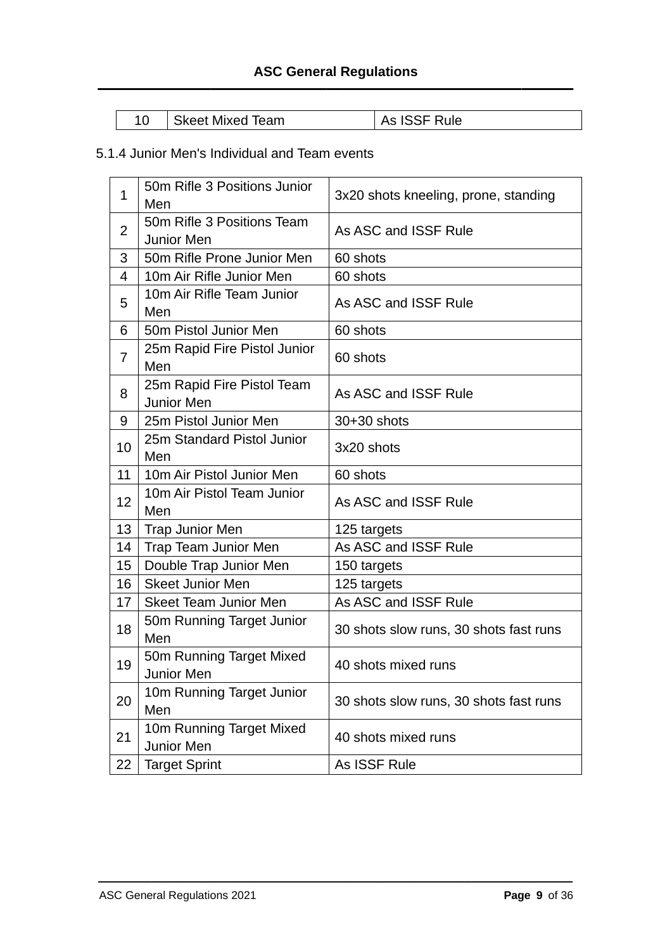| Skeet Mixed Team | As ISSF Rule |
|------------------|--------------|
|                  |              |

# 5.1.4 Junior Men's Individual and Team events

| 1              | 50m Rifle 3 Positions Junior<br>Men             | 3x20 shots kneeling, prone, standing   |
|----------------|-------------------------------------------------|----------------------------------------|
| $\overline{2}$ | 50m Rifle 3 Positions Team<br><b>Junior Men</b> | As ASC and ISSF Rule                   |
| 3              | 50m Rifle Prone Junior Men                      | 60 shots                               |
| 4              | 10m Air Rifle Junior Men                        | 60 shots                               |
| 5              | 10m Air Rifle Team Junior<br>Men                | As ASC and ISSF Rule                   |
| 6              | 50m Pistol Junior Men                           | 60 shots                               |
| $\overline{7}$ | 25m Rapid Fire Pistol Junior<br>Men             | 60 shots                               |
| 8              | 25m Rapid Fire Pistol Team<br>Junior Men        | As ASC and ISSF Rule                   |
| 9              | 25m Pistol Junior Men                           | $30+30$ shots                          |
| 10             | 25m Standard Pistol Junior<br>Men               | 3x20 shots                             |
| 11             | 10m Air Pistol Junior Men                       | 60 shots                               |
| 12             | 10m Air Pistol Team Junior<br>Men               | As ASC and ISSF Rule                   |
| 13             | <b>Trap Junior Men</b>                          | 125 targets                            |
| 14             | Trap Team Junior Men                            | As ASC and ISSF Rule                   |
| 15             | Double Trap Junior Men                          | 150 targets                            |
| 16             | <b>Skeet Junior Men</b>                         | 125 targets                            |
| 17             | <b>Skeet Team Junior Men</b>                    | As ASC and ISSF Rule                   |
| 18             | 50m Running Target Junior<br>Men                | 30 shots slow runs, 30 shots fast runs |
| 19             | 50m Running Target Mixed<br><b>Junior Men</b>   | 40 shots mixed runs                    |
| 20             | 10m Running Target Junior<br>Men                | 30 shots slow runs, 30 shots fast runs |
| 21             | 10m Running Target Mixed<br>Junior Men          | 40 shots mixed runs                    |
| 22             | <b>Target Sprint</b>                            | As ISSF Rule                           |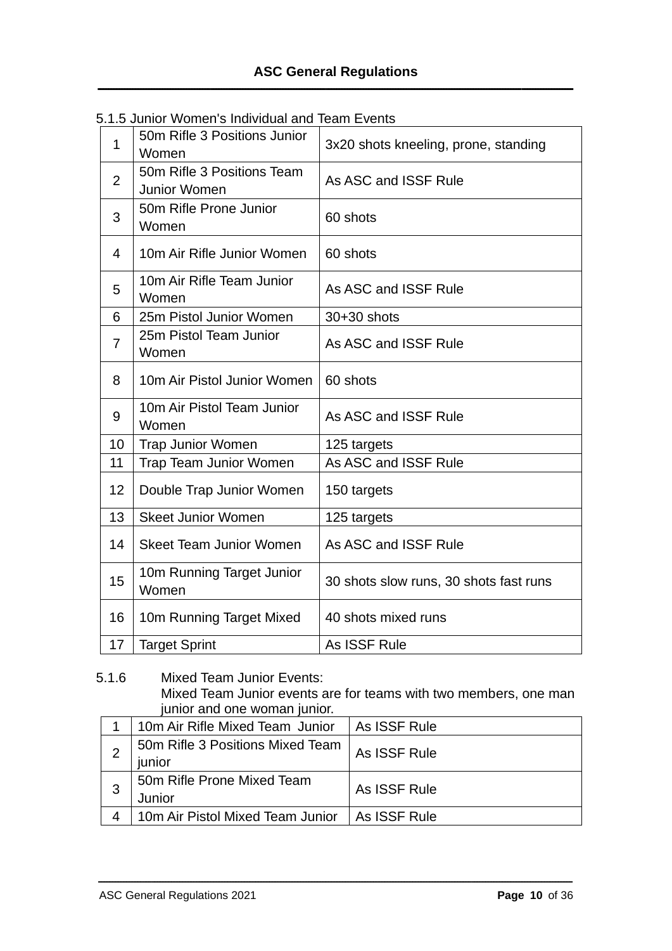| 1              | 50m Rifle 3 Positions Junior<br>Women      | 3x20 shots kneeling, prone, standing   |
|----------------|--------------------------------------------|----------------------------------------|
| $\overline{2}$ | 50m Rifle 3 Positions Team<br>Junior Women | As ASC and ISSF Rule                   |
| 3              | 50m Rifle Prone Junior<br>Women            | 60 shots                               |
| 4              | 10m Air Rifle Junior Women                 | 60 shots                               |
| 5              | 10m Air Rifle Team Junior<br>Women         | As ASC and ISSF Rule                   |
| 6              | 25m Pistol Junior Women                    | 30+30 shots                            |
| $\overline{7}$ | 25m Pistol Team Junior<br>Women            | As ASC and ISSF Rule                   |
| 8              | 10m Air Pistol Junior Women                | 60 shots                               |
| 9              | 10m Air Pistol Team Junior<br>Women        | As ASC and ISSF Rule                   |
| 10             | <b>Trap Junior Women</b>                   | 125 targets                            |
| 11             | <b>Trap Team Junior Women</b>              | As ASC and ISSF Rule                   |
| 12             | Double Trap Junior Women                   | 150 targets                            |
| 13             | <b>Skeet Junior Women</b>                  | 125 targets                            |
| 14             | <b>Skeet Team Junior Women</b>             | As ASC and ISSF Rule                   |
| 15             | 10m Running Target Junior<br>Women         | 30 shots slow runs, 30 shots fast runs |
| 16             | 10m Running Target Mixed                   | 40 shots mixed runs                    |
| 17             | <b>Target Sprint</b>                       | As ISSF Rule                           |

|  | 5.1.5 Junior Women's Individual and Team Events |  |  |
|--|-------------------------------------------------|--|--|
|  |                                                 |  |  |

5.1.6 Mixed Team Junior Events: Mixed Team Junior events are for teams with two members, one man junior and one woman junior.

| 10m Air Rifle Mixed Team Junior            | As ISSF Rule |
|--------------------------------------------|--------------|
| 50m Rifle 3 Positions Mixed Team<br>junior | As ISSF Rule |
| 50m Rifle Prone Mixed Team<br>Junior       | As ISSF Rule |
| 10m Air Pistol Mixed Team Junior           | As ISSF Rule |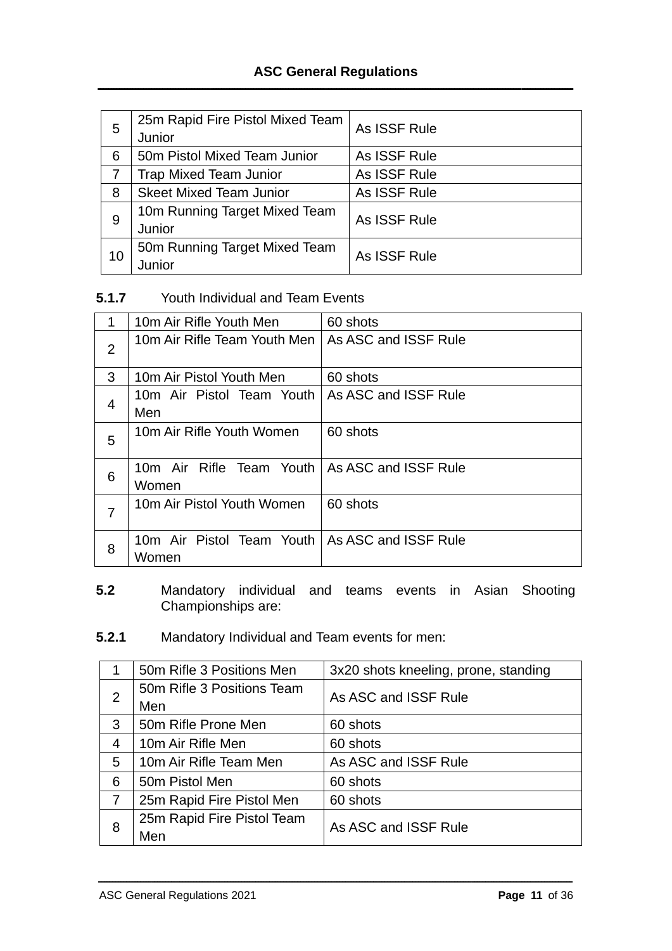| 5  | 25m Rapid Fire Pistol Mixed Team<br>Junior | As ISSF Rule |
|----|--------------------------------------------|--------------|
| 6  | 50m Pistol Mixed Team Junior               | As ISSF Rule |
|    | <b>Trap Mixed Team Junior</b>              | As ISSF Rule |
| 8  | <b>Skeet Mixed Team Junior</b>             | As ISSF Rule |
| 9  | 10m Running Target Mixed Team              | As ISSF Rule |
|    | Junior                                     |              |
| 10 | 50m Running Target Mixed Team              | As ISSF Rule |
|    | Junior                                     |              |

#### **5.1.7** Youth Individual and Team Events

| 1 | 10m Air Rifle Youth Men              | 60 shots             |
|---|--------------------------------------|----------------------|
| 2 | 10m Air Rifle Team Youth Men I       | As ASC and ISSF Rule |
| 3 | 10m Air Pistol Youth Men             | 60 shots             |
| 4 | 10m Air Pistol Team Youth<br>Men     | As ASC and ISSF Rule |
| 5 | 10m Air Rifle Youth Women            | 60 shots             |
| 6 | 10m Air Rifle Team Youth I<br>Women  | As ASC and ISSF Rule |
| 7 | 10m Air Pistol Youth Women           | 60 shots             |
| 8 | 10m Air Pistol Team Youth  <br>Women | As ASC and ISSF Rule |

- **5.2** Mandatory individual and teams events in Asian Shooting Championships are:
- **5.2.1** Mandatory Individual and Team events for men:

|   | 50m Rifle 3 Positions Men  | 3x20 shots kneeling, prone, standing |  |
|---|----------------------------|--------------------------------------|--|
| 2 | 50m Rifle 3 Positions Team | As ASC and ISSF Rule                 |  |
|   | Men                        |                                      |  |
| 3 | 50m Rifle Prone Men        | 60 shots                             |  |
| 4 | 10m Air Rifle Men          | 60 shots                             |  |
| 5 | 10m Air Rifle Team Men     | As ASC and ISSF Rule                 |  |
| 6 | 50m Pistol Men             | 60 shots                             |  |
|   | 25m Rapid Fire Pistol Men  | 60 shots                             |  |
| 8 | 25m Rapid Fire Pistol Team | As ASC and ISSF Rule                 |  |
|   | Men                        |                                      |  |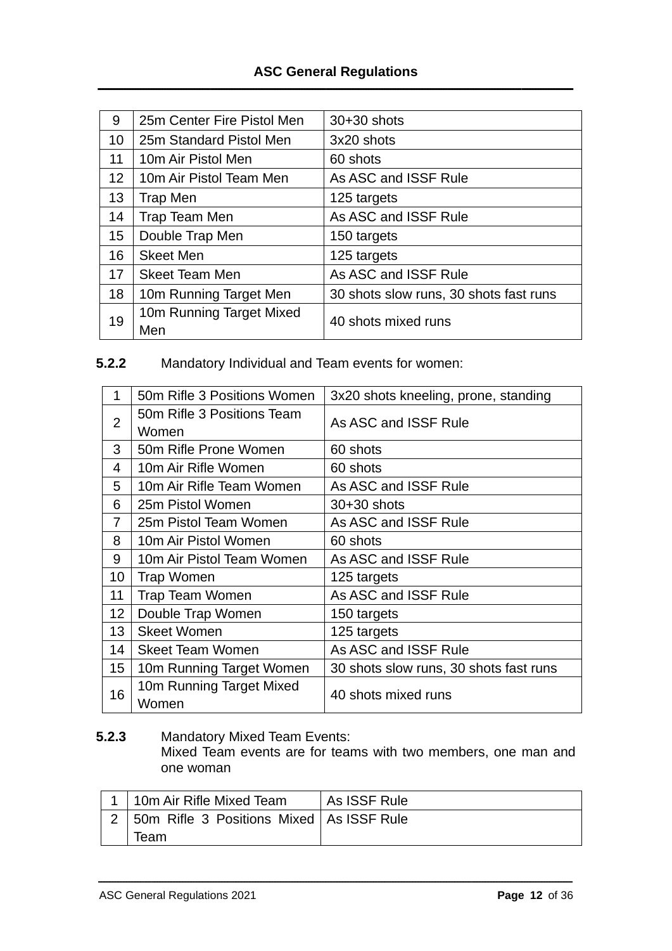| 9               | 25m Center Fire Pistol Men      | $30+30$ shots                          |  |
|-----------------|---------------------------------|----------------------------------------|--|
| 10              | 25m Standard Pistol Men         | 3x20 shots                             |  |
| 11              | 10m Air Pistol Men              | 60 shots                               |  |
| 12 <sup>2</sup> | 10m Air Pistol Team Men         | As ASC and ISSF Rule                   |  |
| 13              | Trap Men                        | 125 targets                            |  |
| 14              | Trap Team Men                   | As ASC and ISSF Rule                   |  |
| 15              | Double Trap Men                 | 150 targets                            |  |
| 16              | <b>Skeet Men</b>                | 125 targets                            |  |
| 17              | <b>Skeet Team Men</b>           | As ASC and ISSF Rule                   |  |
| 18              | 10m Running Target Men          | 30 shots slow runs, 30 shots fast runs |  |
| 19              | 10m Running Target Mixed<br>Men | 40 shots mixed runs                    |  |

# **5.2.2** Mandatory Individual and Team events for women:

| 1                | 50m Rifle 3 Positions Women         | 3x20 shots kneeling, prone, standing   |  |  |
|------------------|-------------------------------------|----------------------------------------|--|--|
| $\overline{2}$   | 50m Rifle 3 Positions Team<br>Women | As ASC and ISSF Rule                   |  |  |
| 3                | 50m Rifle Prone Women               | 60 shots                               |  |  |
| 4                | 10m Air Rifle Women                 | 60 shots                               |  |  |
| 5                | 10m Air Rifle Team Women            | As ASC and ISSF Rule                   |  |  |
| 6                | 25m Pistol Women                    | 30+30 shots                            |  |  |
| 7                | 25m Pistol Team Women               | As ASC and ISSF Rule                   |  |  |
| 8                | 10m Air Pistol Women                | 60 shots                               |  |  |
| 9                | 10m Air Pistol Team Women           | As ASC and ISSF Rule                   |  |  |
| 10               | Trap Women                          | 125 targets                            |  |  |
| 11               | <b>Trap Team Women</b>              | As ASC and ISSF Rule                   |  |  |
| 12               | Double Trap Women                   | 150 targets                            |  |  |
| 13               | <b>Skeet Women</b>                  | 125 targets                            |  |  |
| 14               | <b>Skeet Team Women</b>             | As ASC and ISSF Rule                   |  |  |
| 15 <sub>15</sub> | 10m Running Target Women            | 30 shots slow runs, 30 shots fast runs |  |  |
| 16               | 10m Running Target Mixed<br>Women   | 40 shots mixed runs                    |  |  |

# **5.2.3** Mandatory Mixed Team Events:

Mixed Team events are for teams with two members, one man and one woman

| 10m Air Rifle Mixed Team                       | As ISSF Rule |
|------------------------------------------------|--------------|
| 2   50m Rifle 3 Positions Mixed   As ISSF Rule |              |
| Team                                           |              |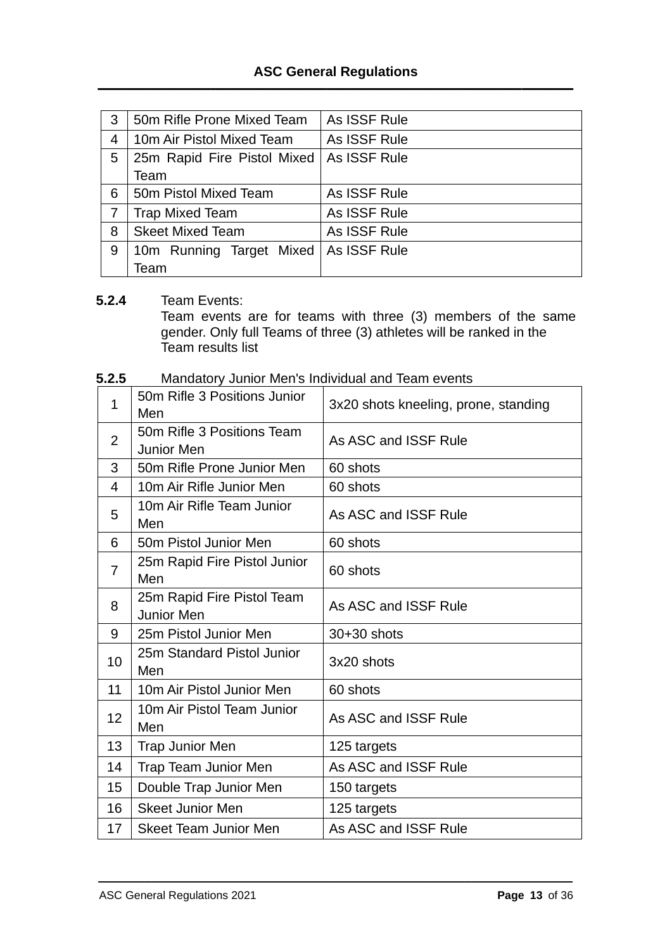| 3 | 50m Rifle Prone Mixed Team  | As ISSF Rule |
|---|-----------------------------|--------------|
| 4 | 10m Air Pistol Mixed Team   | As ISSF Rule |
| 5 | 25m Rapid Fire Pistol Mixed | As ISSF Rule |
|   | Team                        |              |
| 6 | 50m Pistol Mixed Team       | As ISSF Rule |
|   | <b>Trap Mixed Team</b>      | As ISSF Rule |
| 8 | <b>Skeet Mixed Team</b>     | As ISSF Rule |
| 9 | 10m Running Target Mixed    | As ISSF Rule |
|   | Team                        |              |

#### **5.2.4** Team Events:

Team events are for teams with three (3) members of the same gender. Only full Teams of three (3) athletes will be ranked in the Team results list

| 5.2.5<br>Mandatory Junior Men's Individual and Team events |  |
|------------------------------------------------------------|--|
|------------------------------------------------------------|--|

| 1               | 50m Rifle 3 Positions Junior<br>Men             | 3x20 shots kneeling, prone, standing |  |
|-----------------|-------------------------------------------------|--------------------------------------|--|
| $\overline{2}$  | 50m Rifle 3 Positions Team<br><b>Junior Men</b> | As ASC and ISSF Rule                 |  |
| 3               | 50m Rifle Prone Junior Men                      | 60 shots                             |  |
| 4               | 10m Air Rifle Junior Men                        | 60 shots                             |  |
| 5               | 10m Air Rifle Team Junior<br>Men                | As ASC and ISSF Rule                 |  |
| 6               | 50m Pistol Junior Men                           | 60 shots                             |  |
| 7               | 25m Rapid Fire Pistol Junior<br>Men             | 60 shots                             |  |
| 8               | 25m Rapid Fire Pistol Team<br><b>Junior Men</b> | As ASC and ISSF Rule                 |  |
| 9               | 25m Pistol Junior Men                           | 30+30 shots                          |  |
| 10              | 25m Standard Pistol Junior<br>Men               | 3x20 shots                           |  |
| 11              | 10m Air Pistol Junior Men                       | 60 shots                             |  |
| 12 <sub>2</sub> | 10m Air Pistol Team Junior<br>Men               | As ASC and ISSF Rule                 |  |
| 13              | <b>Trap Junior Men</b>                          | 125 targets                          |  |
| 14              | Trap Team Junior Men                            | As ASC and ISSF Rule                 |  |
| 15              | Double Trap Junior Men                          | 150 targets                          |  |
| 16              | <b>Skeet Junior Men</b>                         | 125 targets                          |  |
| 17              | <b>Skeet Team Junior Men</b>                    | As ASC and ISSF Rule                 |  |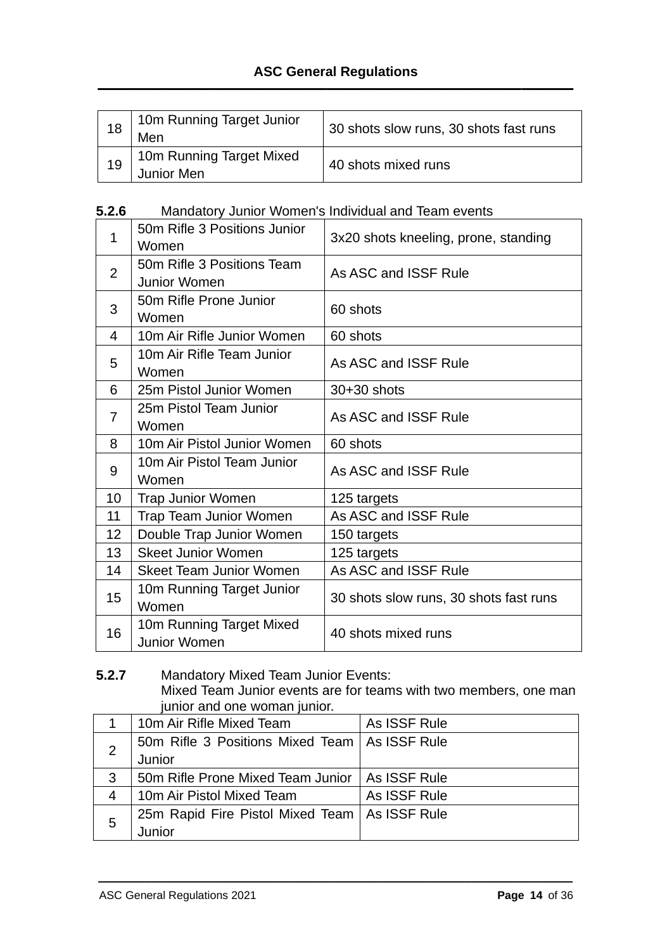| 18 | 10m Running Target Junior<br>Men       | 30 shots slow runs, 30 shots fast runs |
|----|----------------------------------------|----------------------------------------|
| 19 | 10m Running Target Mixed<br>Junior Men | 40 shots mixed runs                    |

#### **5.2.6** Mandatory Junior Women's Individual and Team events

| 1              | 50m Rifle 3 Positions Junior   | 3x20 shots kneeling, prone, standing   |  |
|----------------|--------------------------------|----------------------------------------|--|
|                | Women                          |                                        |  |
| $\overline{2}$ | 50m Rifle 3 Positions Team     | As ASC and ISSF Rule                   |  |
|                | <b>Junior Women</b>            |                                        |  |
| 3              | 50m Rifle Prone Junior         | 60 shots                               |  |
|                | Women                          |                                        |  |
| 4              | 10m Air Rifle Junior Women     | 60 shots                               |  |
|                | 10m Air Rifle Team Junior      | As ASC and ISSF Rule                   |  |
| 5              | Women                          |                                        |  |
| 6              | 25m Pistol Junior Women        | $30+30$ shots                          |  |
|                | 25m Pistol Team Junior         | As ASC and ISSF Rule                   |  |
| 7              | Women                          |                                        |  |
| 8              | 10m Air Pistol Junior Women    | 60 shots                               |  |
| 9              | 10m Air Pistol Team Junior     | As ASC and ISSF Rule                   |  |
|                | Women                          |                                        |  |
| 10             | <b>Trap Junior Women</b>       | 125 targets                            |  |
| 11             | <b>Trap Team Junior Women</b>  | As ASC and ISSF Rule                   |  |
| 12             | Double Trap Junior Women       | 150 targets                            |  |
| 13             | <b>Skeet Junior Women</b>      | 125 targets                            |  |
| 14             | <b>Skeet Team Junior Women</b> | As ASC and ISSF Rule                   |  |
| 15             | 10m Running Target Junior      |                                        |  |
|                | Women                          | 30 shots slow runs, 30 shots fast runs |  |
| 16             | 10m Running Target Mixed       | 40 shots mixed runs                    |  |
|                | Junior Women                   |                                        |  |

#### **5.2.7** Mandatory Mixed Team Junior Events: Mixed Team Junior events are for teams with two members, one man junior and one woman junior.

|   | 10m Air Rifle Mixed Team                         | As ISSF Rule |
|---|--------------------------------------------------|--------------|
|   | 50m Rifle 3 Positions Mixed Team   As ISSF Rule  |              |
|   | Junior                                           |              |
| 3 | 50m Rifle Prone Mixed Team Junior   As ISSF Rule |              |
| 4 | 10m Air Pistol Mixed Team                        | As ISSF Rule |
| 5 | 25m Rapid Fire Pistol Mixed Team   As ISSF Rule  |              |
|   | Junior                                           |              |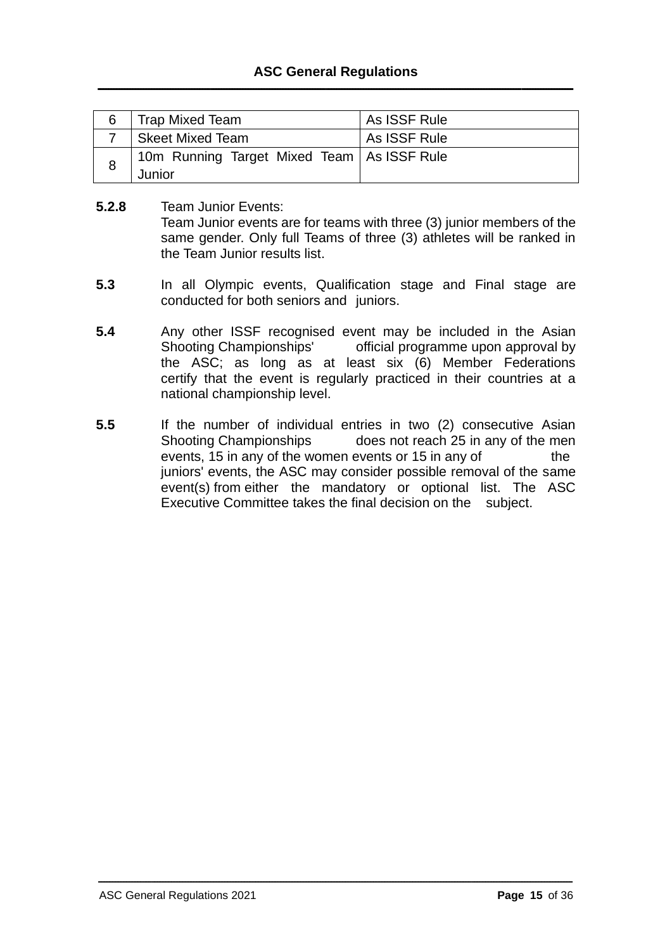| 6   Trap Mixed Team                                    | As ISSF Rule |
|--------------------------------------------------------|--------------|
| Skeet Mixed Team                                       | As ISSF Rule |
| 10m Running Target Mixed Team   As ISSF Rule<br>Junior |              |

- **5.2.8** Team Junior Events: Team Junior events are for teams with three (3) junior members of the same gender. Only full Teams of three (3) athletes will be ranked in the Team Junior results list.
- **5.3** In all Olympic events, Qualification stage and Final stage are conducted for both seniors and juniors.
- **5.4** Any other ISSF recognised event may be included in the Asian Shooting Championships' official programme upon approval by the ASC; as long as at least six (6) Member Federations certify that the event is regularly practiced in their countries at a national championship level.
- **5.5** If the number of individual entries in two (2) consecutive Asian Shooting Championships does not reach 25 in any of the men events, 15 in any of the women events or 15 in any of the juniors' events, the ASC may consider possible removal of the same event(s) from either the mandatory or optional list. The ASC Executive Committee takes the final decision on the subject.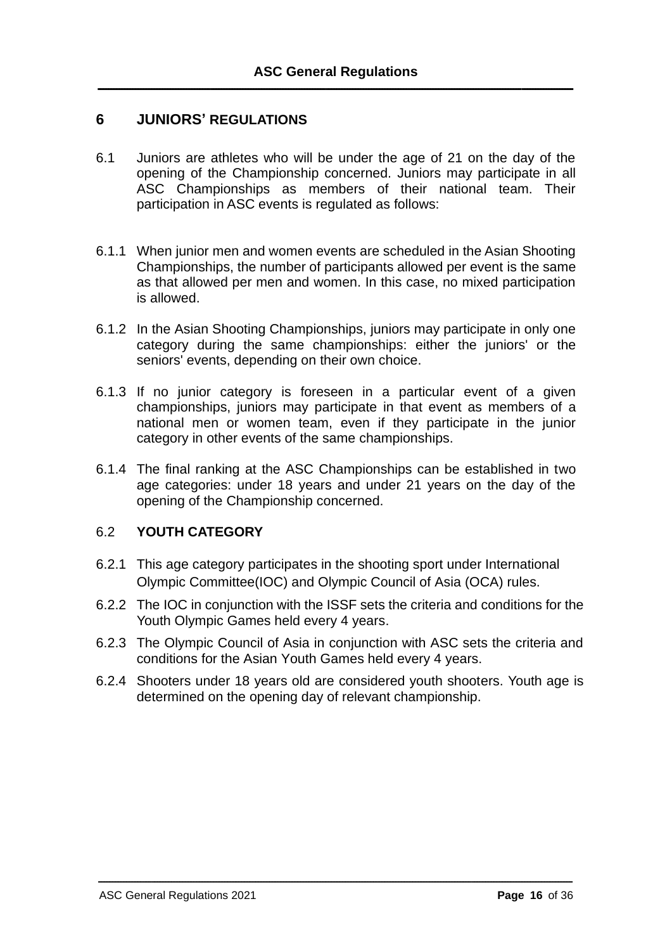## **6 JUNIORS' REGULATIONS**

- 6.1 Juniors are athletes who will be under the age of 21 on the day of the opening of the Championship concerned. Juniors may participate in all ASC Championships as members of their national team. Their participation in ASC events is regulated as follows:
- 6.1.1 When junior men and women events are scheduled in the Asian Shooting Championships, the number of participants allowed per event is the same as that allowed per men and women. In this case, no mixed participation is allowed.
- 6.1.2 In the Asian Shooting Championships, juniors may participate in only one category during the same championships: either the juniors' or the seniors' events, depending on their own choice.
- 6.1.3 If no junior category is foreseen in a particular event of a given championships, juniors may participate in that event as members of a national men or women team, even if they participate in the junior category in other events of the same championships.
- 6.1.4 The final ranking at the ASC Championships can be established in two age categories: under 18 years and under 21 years on the day of the opening of the Championship concerned.

#### 6.2 **YOUTH CATEGORY**

- 6.2.1 This age category participates in the shooting sport under International Olympic Committee(IOC) and Olympic Council of Asia (OCA) rules.
- 6.2.2 The IOC in conjunction with the ISSF sets the criteria and conditions for the Youth Olympic Games held every 4 years.
- 6.2.3 The Olympic Council of Asia in conjunction with ASC sets the criteria and conditions for the Asian Youth Games held every 4 years.
- 6.2.4 Shooters under 18 years old are considered youth shooters. Youth age is determined on the opening day of relevant championship.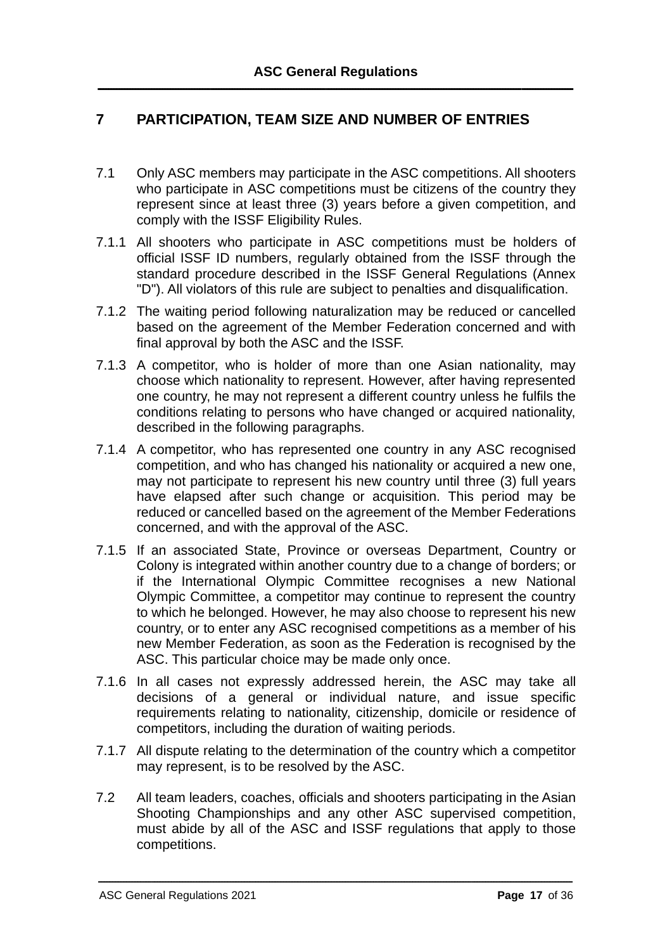# **7 PARTICIPATION, TEAM SIZE AND NUMBER OF ENTRIES**

- 7.1 Only ASC members may participate in the ASC competitions. All shooters who participate in ASC competitions must be citizens of the country they represent since at least three (3) years before a given competition, and comply with the ISSF Eligibility Rules.
- 7.1.1 All shooters who participate in ASC competitions must be holders of official ISSF ID numbers, regularly obtained from the ISSF through the standard procedure described in the ISSF General Regulations (Annex "D"). All violators of this rule are subject to penalties and disqualification.
- 7.1.2 The waiting period following naturalization may be reduced or cancelled based on the agreement of the Member Federation concerned and with final approval by both the ASC and the ISSF.
- 7.1.3 A competitor, who is holder of more than one Asian nationality, may choose which nationality to represent. However, after having represented one country, he may not represent a different country unless he fulfils the conditions relating to persons who have changed or acquired nationality, described in the following paragraphs.
- 7.1.4 A competitor, who has represented one country in any ASC recognised competition, and who has changed his nationality or acquired a new one, may not participate to represent his new country until three (3) full years have elapsed after such change or acquisition. This period may be reduced or cancelled based on the agreement of the Member Federations concerned, and with the approval of the ASC.
- 7.1.5 If an associated State, Province or overseas Department, Country or Colony is integrated within another country due to a change of borders; or if the International Olympic Committee recognises a new National Olympic Committee, a competitor may continue to represent the country to which he belonged. However, he may also choose to represent his new country, or to enter any ASC recognised competitions as a member of his new Member Federation, as soon as the Federation is recognised by the ASC. This particular choice may be made only once.
- 7.1.6 In all cases not expressly addressed herein, the ASC may take all decisions of a general or individual nature, and issue specific requirements relating to nationality, citizenship, domicile or residence of competitors, including the duration of waiting periods.
- 7.1.7 All dispute relating to the determination of the country which a competitor may represent, is to be resolved by the ASC.
- 7.2 All team leaders, coaches, officials and shooters participating in the Asian Shooting Championships and any other ASC supervised competition, must abide by all of the ASC and ISSF regulations that apply to those competitions.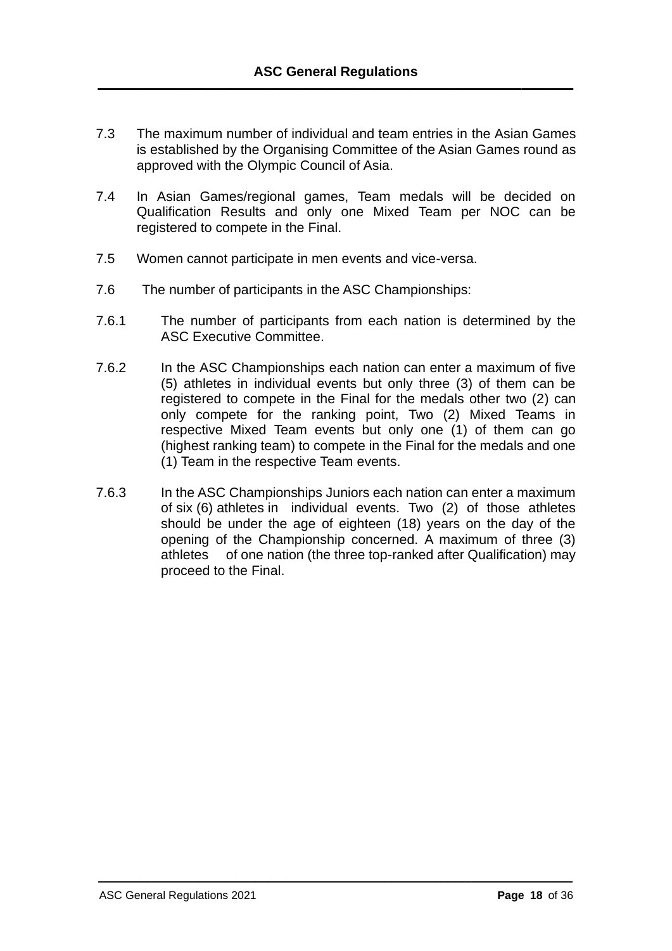- 7.3 The maximum number of individual and team entries in the Asian Games is established by the Organising Committee of the Asian Games round as approved with the Olympic Council of Asia.
- 7.4 In Asian Games/regional games, Team medals will be decided on Qualification Results and only one Mixed Team per NOC can be registered to compete in the Final.
- 7.5 Women cannot participate in men events and vice-versa.
- 7.6 The number of participants in the ASC Championships:
- 7.6.1 The number of participants from each nation is determined by the ASC Executive Committee.
- 7.6.2 In the ASC Championships each nation can enter a maximum of five (5) athletes in individual events but only three (3) of them can be registered to compete in the Final for the medals other two (2) can only compete for the ranking point, Two (2) Mixed Teams in respective Mixed Team events but only one (1) of them can go (highest ranking team) to compete in the Final for the medals and one (1) Team in the respective Team events.
- 7.6.3 In the ASC Championships Juniors each nation can enter a maximum of six (6) athletes in individual events. Two (2) of those athletes should be under the age of eighteen (18) years on the day of the opening of the Championship concerned. A maximum of three (3) athletes of one nation (the three top-ranked after Qualification) may proceed to the Final.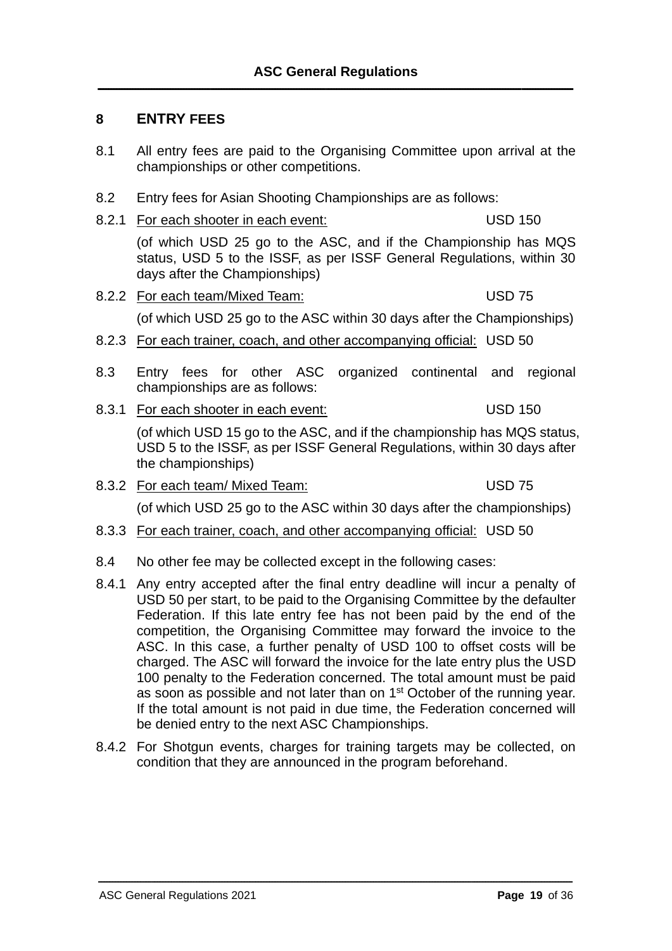#### **8 ENTRY FEES**

- 8.1 All entry fees are paid to the Organising Committee upon arrival at the championships or other competitions.
- 8.2 Entry fees for Asian Shooting Championships are as follows:
- 8.2.1 For each shooter in each event: USD 150

(of which USD 25 go to the ASC, and if the Championship has MQS status, USD 5 to the ISSF, as per ISSF General Regulations, within 30 days after the Championships)

- 8.2.2 For each team/Mixed Team: USD 75 (of which USD 25 go to the ASC within 30 days after the Championships)
- 8.2.3 For each trainer, coach, and other accompanying official: USD 50
- 8.3 Entry fees for other ASC organized continental and regional championships are as follows:
- 8.3.1 For each shooter in each event: USD 150

(of which USD 15 go to the ASC, and if the championship has MQS status, USD 5 to the ISSF, as per ISSF General Regulations, within 30 days after the championships)

8.3.2 For each team/ Mixed Team: USD 75

(of which USD 25 go to the ASC within 30 days after the championships)

- 8.3.3 For each trainer, coach, and other accompanying official: USD 50
- 8.4 No other fee may be collected except in the following cases:
- 8.4.1 Any entry accepted after the final entry deadline will incur a penalty of USD 50 per start, to be paid to the Organising Committee by the defaulter Federation. If this late entry fee has not been paid by the end of the competition, the Organising Committee may forward the invoice to the ASC. In this case, a further penalty of USD 100 to offset costs will be charged. The ASC will forward the invoice for the late entry plus the USD 100 penalty to the Federation concerned. The total amount must be paid as soon as possible and not later than on 1st October of the running year. If the total amount is not paid in due time, the Federation concerned will be denied entry to the next ASC Championships.
- 8.4.2 For Shotgun events, charges for training targets may be collected, on condition that they are announced in the program beforehand.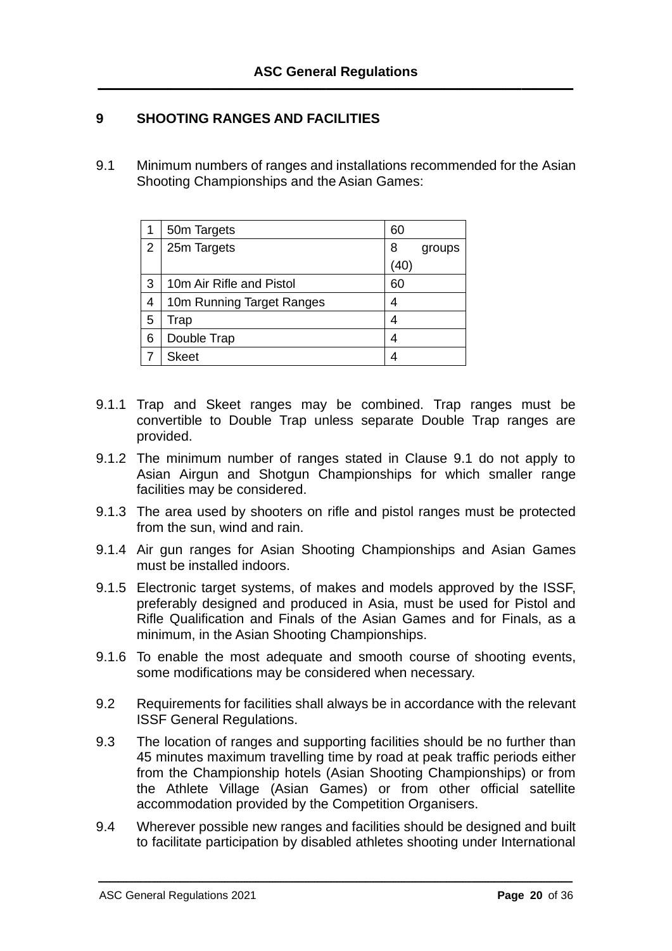## **9 SHOOTING RANGES AND FACILITIES**

9.1 Minimum numbers of ranges and installations recommended for the Asian Shooting Championships and the Asian Games:

|   | 50m Targets               | 60  |        |
|---|---------------------------|-----|--------|
| 2 | 25m Targets               | 8   | groups |
|   |                           | 40) |        |
| 3 | 10m Air Rifle and Pistol  | 60  |        |
| 4 | 10m Running Target Ranges | 4   |        |
| 5 | Trap                      | 4   |        |
| 6 | Double Trap               | 4   |        |
|   | <b>Skeet</b>              |     |        |

- 9.1.1 Trap and Skeet ranges may be combined. Trap ranges must be convertible to Double Trap unless separate Double Trap ranges are provided.
- 9.1.2 The minimum number of ranges stated in Clause 9.1 do not apply to Asian Airgun and Shotgun Championships for which smaller range facilities may be considered.
- 9.1.3 The area used by shooters on rifle and pistol ranges must be protected from the sun, wind and rain.
- 9.1.4 Air gun ranges for Asian Shooting Championships and Asian Games must be installed indoors.
- 9.1.5 Electronic target systems, of makes and models approved by the ISSF, preferably designed and produced in Asia, must be used for Pistol and Rifle Qualification and Finals of the Asian Games and for Finals, as a minimum, in the Asian Shooting Championships.
- 9.1.6 To enable the most adequate and smooth course of shooting events, some modifications may be considered when necessary.
- 9.2 Requirements for facilities shall always be in accordance with the relevant ISSF General Regulations.
- 9.3 The location of ranges and supporting facilities should be no further than 45 minutes maximum travelling time by road at peak traffic periods either from the Championship hotels (Asian Shooting Championships) or from the Athlete Village (Asian Games) or from other official satellite accommodation provided by the Competition Organisers.
- 9.4 Wherever possible new ranges and facilities should be designed and built to facilitate participation by disabled athletes shooting under International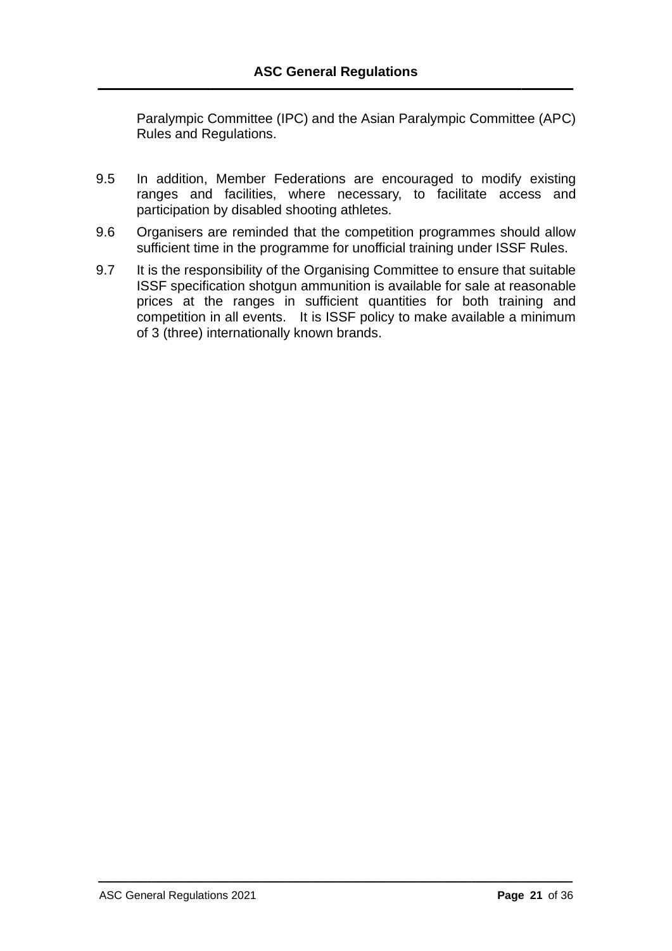Paralympic Committee (IPC) and the Asian Paralympic Committee (APC) Rules and Regulations.

- 9.5 In addition, Member Federations are encouraged to modify existing ranges and facilities, where necessary, to facilitate access and participation by disabled shooting athletes.
- 9.6 Organisers are reminded that the competition programmes should allow sufficient time in the programme for unofficial training under ISSF Rules.
- 9.7 It is the responsibility of the Organising Committee to ensure that suitable ISSF specification shotgun ammunition is available for sale at reasonable prices at the ranges in sufficient quantities for both training and competition in all events. It is ISSF policy to make available a minimum of 3 (three) internationally known brands.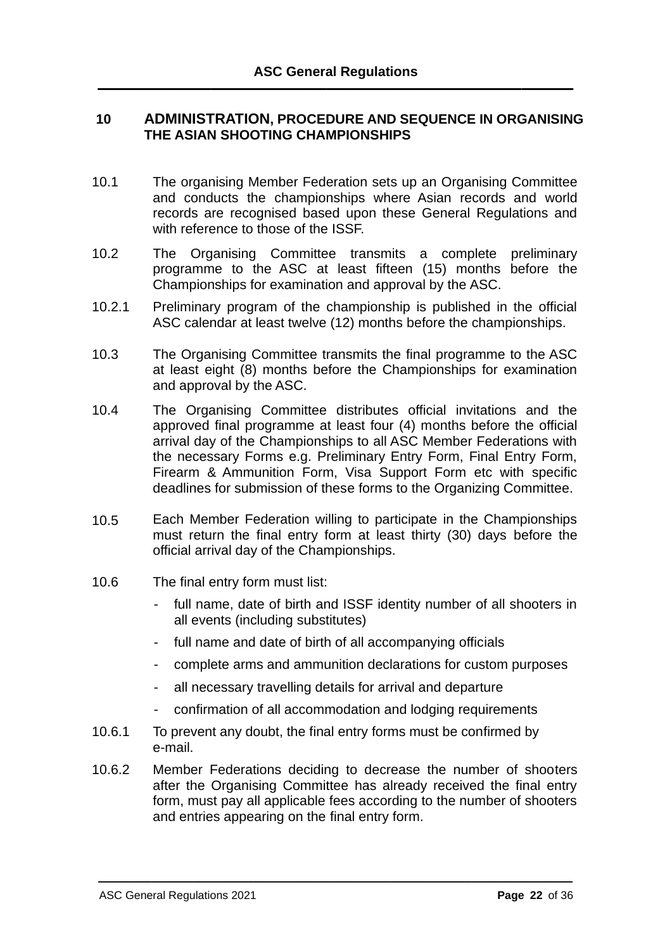#### **10 ADMINISTRATION, PROCEDURE AND SEQUENCE IN ORGANISING THE ASIAN SHOOTING CHAMPIONSHIPS**

- 10.1 The organising Member Federation sets up an Organising Committee and conducts the championships where Asian records and world records are recognised based upon these General Regulations and with reference to those of the ISSF.
- 10.2 The Organising Committee transmits a complete preliminary programme to the ASC at least fifteen (15) months before the Championships for examination and approval by the ASC.
- 10.2.1 Preliminary program of the championship is published in the official ASC calendar at least twelve (12) months before the championships.
- 10.3 The Organising Committee transmits the final programme to the ASC at least eight (8) months before the Championships for examination and approval by the ASC.
- 10.4 The Organising Committee distributes official invitations and the approved final programme at least four (4) months before the official arrival day of the Championships to all ASC Member Federations with the necessary Forms e.g. Preliminary Entry Form, Final Entry Form, Firearm & Ammunition Form, Visa Support Form etc with specific deadlines for submission of these forms to the Organizing Committee.
- 10.5 Each Member Federation willing to participate in the Championships must return the final entry form at least thirty (30) days before the official arrival day of the Championships.
- 10.6 The final entry form must list:
	- full name, date of birth and ISSF identity number of all shooters in all events (including substitutes)
	- full name and date of birth of all accompanying officials
	- complete arms and ammunition declarations for custom purposes
	- all necessary travelling details for arrival and departure
	- confirmation of all accommodation and lodging requirements
- 10.6.1 To prevent any doubt, the final entry forms must be confirmed by e-mail.
- 10.6.2 Member Federations deciding to decrease the number of shooters after the Organising Committee has already received the final entry form, must pay all applicable fees according to the number of shooters and entries appearing on the final entry form.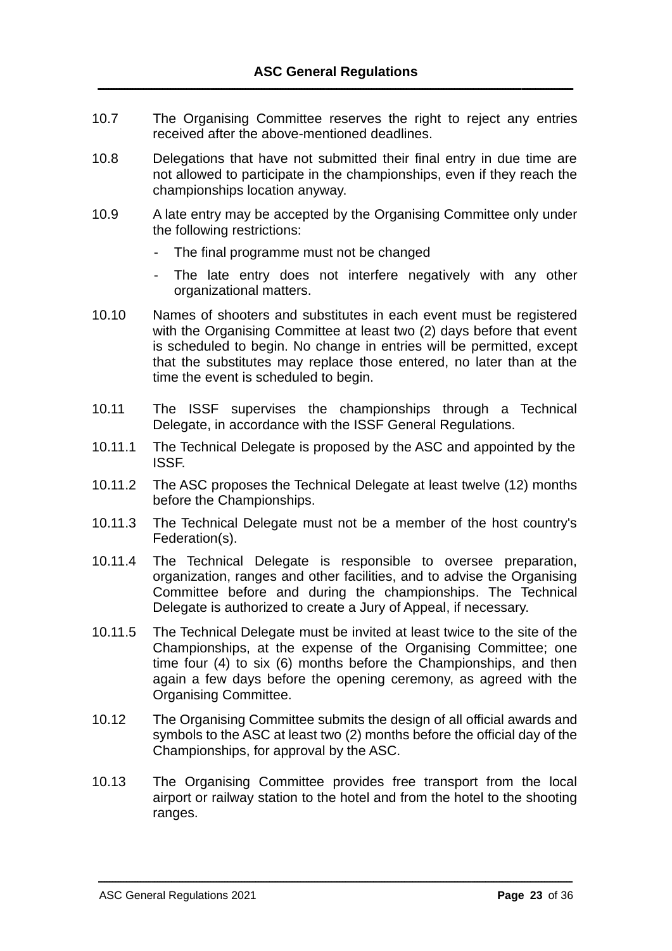- 10.7 The Organising Committee reserves the right to reject any entries received after the above-mentioned deadlines.
- 10.8 Delegations that have not submitted their final entry in due time are not allowed to participate in the championships, even if they reach the championships location anyway.
- 10.9 A late entry may be accepted by the Organising Committee only under the following restrictions:
	- The final programme must not be changed
	- The late entry does not interfere negatively with any other organizational matters.
- 10.10 Names of shooters and substitutes in each event must be registered with the Organising Committee at least two (2) days before that event is scheduled to begin. No change in entries will be permitted, except that the substitutes may replace those entered, no later than at the time the event is scheduled to begin.
- 10.11 The ISSF supervises the championships through a Technical Delegate, in accordance with the ISSF General Regulations.
- 10.11.1 The Technical Delegate is proposed by the ASC and appointed by the ISSF.
- 10.11.2 The ASC proposes the Technical Delegate at least twelve (12) months before the Championships.
- 10.11.3 The Technical Delegate must not be a member of the host country's Federation(s).
- 10.11.4 The Technical Delegate is responsible to oversee preparation, organization, ranges and other facilities, and to advise the Organising Committee before and during the championships. The Technical Delegate is authorized to create a Jury of Appeal, if necessary.
- 10.11.5 The Technical Delegate must be invited at least twice to the site of the Championships, at the expense of the Organising Committee; one time four (4) to six (6) months before the Championships, and then again a few days before the opening ceremony, as agreed with the Organising Committee.
- 10.12 The Organising Committee submits the design of all official awards and symbols to the ASC at least two (2) months before the official day of the Championships, for approval by the ASC.
- 10.13 The Organising Committee provides free transport from the local airport or railway station to the hotel and from the hotel to the shooting ranges.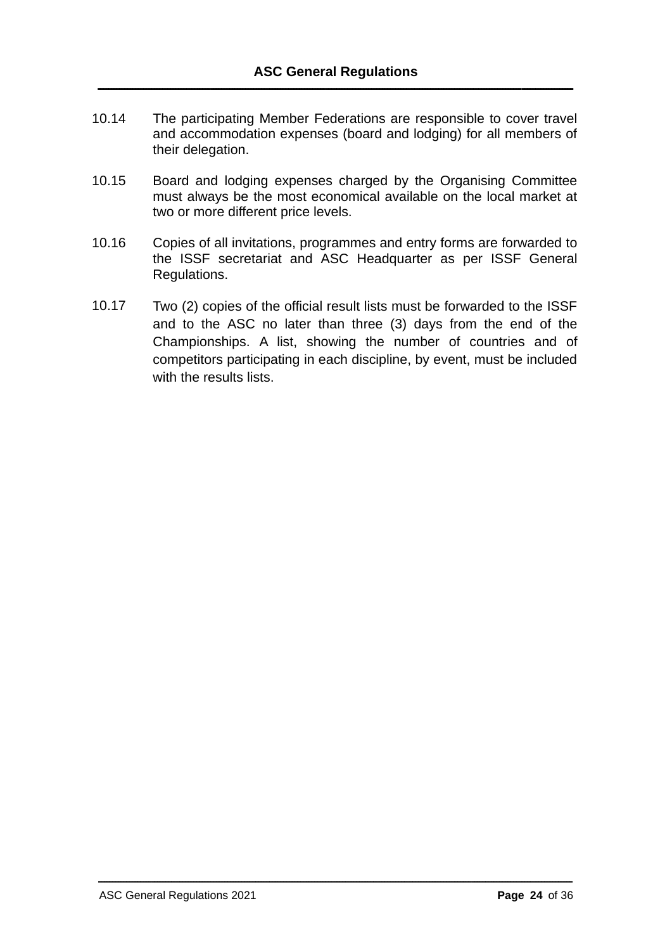- 10.14 The participating Member Federations are responsible to cover travel and accommodation expenses (board and lodging) for all members of their delegation.
- 10.15 Board and lodging expenses charged by the Organising Committee must always be the most economical available on the local market at two or more different price levels.
- 10.16 Copies of all invitations, programmes and entry forms are forwarded to the ISSF secretariat and ASC Headquarter as per ISSF General Regulations.
- 10.17 Two (2) copies of the official result lists must be forwarded to the ISSF and to the ASC no later than three (3) days from the end of the Championships. A list, showing the number of countries and of competitors participating in each discipline, by event, must be included with the results lists.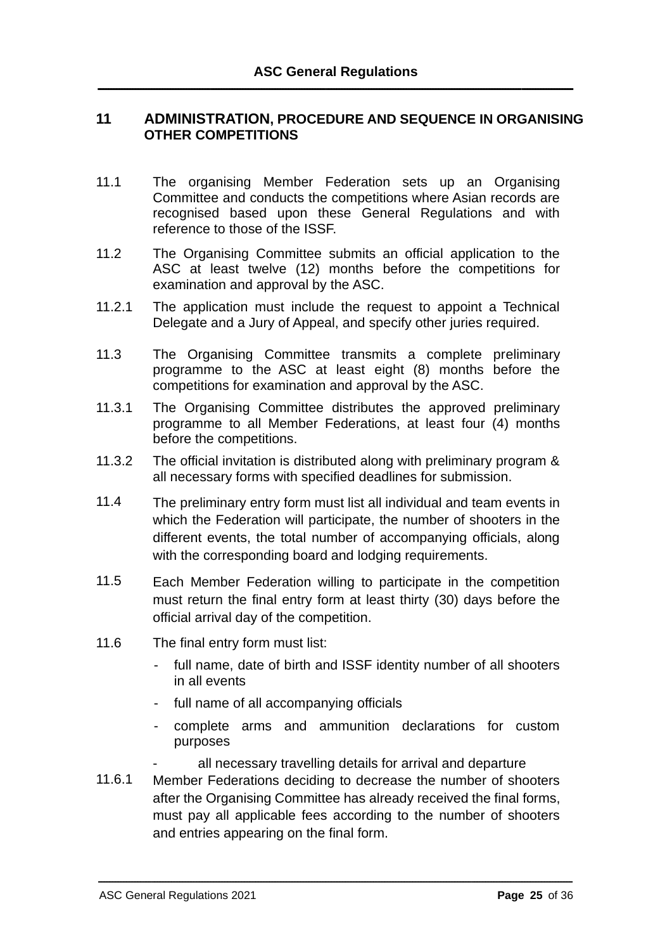#### **11 ADMINISTRATION, PROCEDURE AND SEQUENCE IN ORGANISING OTHER COMPETITIONS**

- 11.1 The organising Member Federation sets up an Organising Committee and conducts the competitions where Asian records are recognised based upon these General Regulations and with reference to those of the ISSF.
- 11.2 The Organising Committee submits an official application to the ASC at least twelve (12) months before the competitions for examination and approval by the ASC.
- 11.2.1 The application must include the request to appoint a Technical Delegate and a Jury of Appeal, and specify other juries required.
- 11.3 The Organising Committee transmits a complete preliminary programme to the ASC at least eight (8) months before the competitions for examination and approval by the ASC.
- 11.3.1 The Organising Committee distributes the approved preliminary programme to all Member Federations, at least four (4) months before the competitions.
- 11.3.2 The official invitation is distributed along with preliminary program & all necessary forms with specified deadlines for submission.
- 11.4 The preliminary entry form must list all individual and team events in which the Federation will participate, the number of shooters in the different events, the total number of accompanying officials, along with the corresponding board and lodging requirements.
- 11.5 Each Member Federation willing to participate in the competition must return the final entry form at least thirty (30) days before the official arrival day of the competition.
- 11.6 The final entry form must list:
	- full name, date of birth and ISSF identity number of all shooters in all events
	- full name of all accompanying officials
	- complete arms and ammunition declarations for custom purposes
		- all necessary travelling details for arrival and departure
- 11.6.1 Member Federations deciding to decrease the number of shooters after the Organising Committee has already received the final forms, must pay all applicable fees according to the number of shooters and entries appearing on the final form.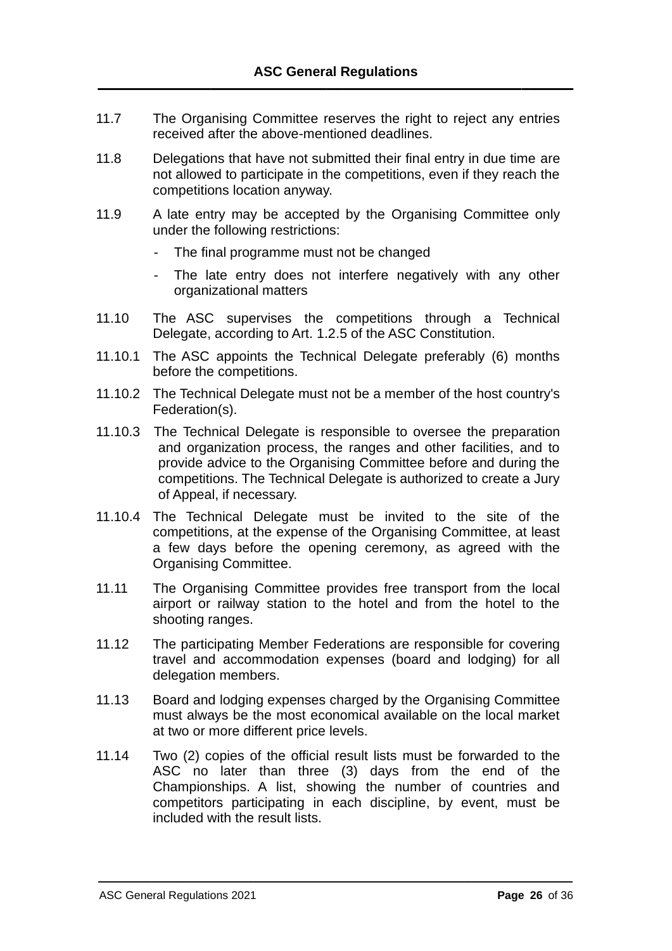- 11.7 The Organising Committee reserves the right to reject any entries received after the above-mentioned deadlines.
- 11.8 Delegations that have not submitted their final entry in due time are not allowed to participate in the competitions, even if they reach the competitions location anyway.
- 11.9 A late entry may be accepted by the Organising Committee only under the following restrictions:
	- The final programme must not be changed
	- The late entry does not interfere negatively with any other organizational matters
- 11.10 The ASC supervises the competitions through a Technical Delegate, according to Art. 1.2.5 of the ASC Constitution.
- 11.10.1 The ASC appoints the Technical Delegate preferably (6) months before the competitions.
- 11.10.2 The Technical Delegate must not be a member of the host country's Federation(s).
- 11.10.3 The Technical Delegate is responsible to oversee the preparation and organization process, the ranges and other facilities, and to provide advice to the Organising Committee before and during the competitions. The Technical Delegate is authorized to create a Jury of Appeal, if necessary.
- 11.10.4 The Technical Delegate must be invited to the site of the competitions, at the expense of the Organising Committee, at least a few days before the opening ceremony, as agreed with the Organising Committee.
- 11.11 The Organising Committee provides free transport from the local airport or railway station to the hotel and from the hotel to the shooting ranges.
- 11.12 The participating Member Federations are responsible for covering travel and accommodation expenses (board and lodging) for all delegation members.
- 11.13 Board and lodging expenses charged by the Organising Committee must always be the most economical available on the local market at two or more different price levels.
- 11.14 Two (2) copies of the official result lists must be forwarded to the ASC no later than three (3) days from the end of the Championships. A list, showing the number of countries and competitors participating in each discipline, by event, must be included with the result lists.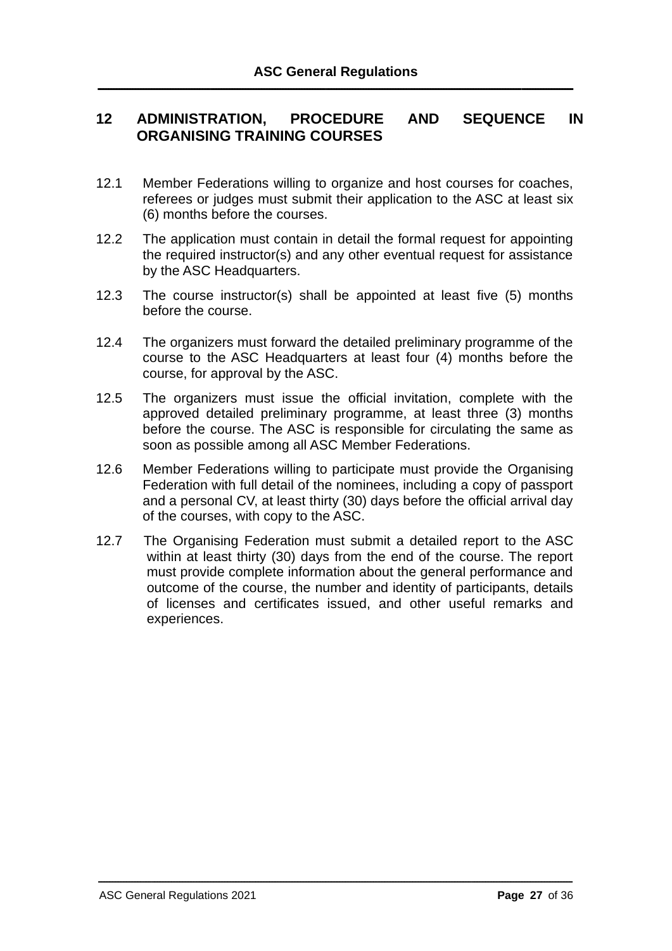# **12 ADMINISTRATION, PROCEDURE AND SEQUENCE IN ORGANISING TRAINING COURSES**

- 12.1 Member Federations willing to organize and host courses for coaches, referees or judges must submit their application to the ASC at least six (6) months before the courses.
- 12.2 The application must contain in detail the formal request for appointing the required instructor(s) and any other eventual request for assistance by the ASC Headquarters.
- 12.3 The course instructor(s) shall be appointed at least five (5) months before the course.
- 12.4 The organizers must forward the detailed preliminary programme of the course to the ASC Headquarters at least four (4) months before the course, for approval by the ASC.
- 12.5 The organizers must issue the official invitation, complete with the approved detailed preliminary programme, at least three (3) months before the course. The ASC is responsible for circulating the same as soon as possible among all ASC Member Federations.
- 12.6 Member Federations willing to participate must provide the Organising Federation with full detail of the nominees, including a copy of passport and a personal CV, at least thirty (30) days before the official arrival day of the courses, with copy to the ASC.
- 12.7 The Organising Federation must submit a detailed report to the ASC within at least thirty (30) days from the end of the course. The report must provide complete information about the general performance and outcome of the course, the number and identity of participants, details of licenses and certificates issued, and other useful remarks and experiences.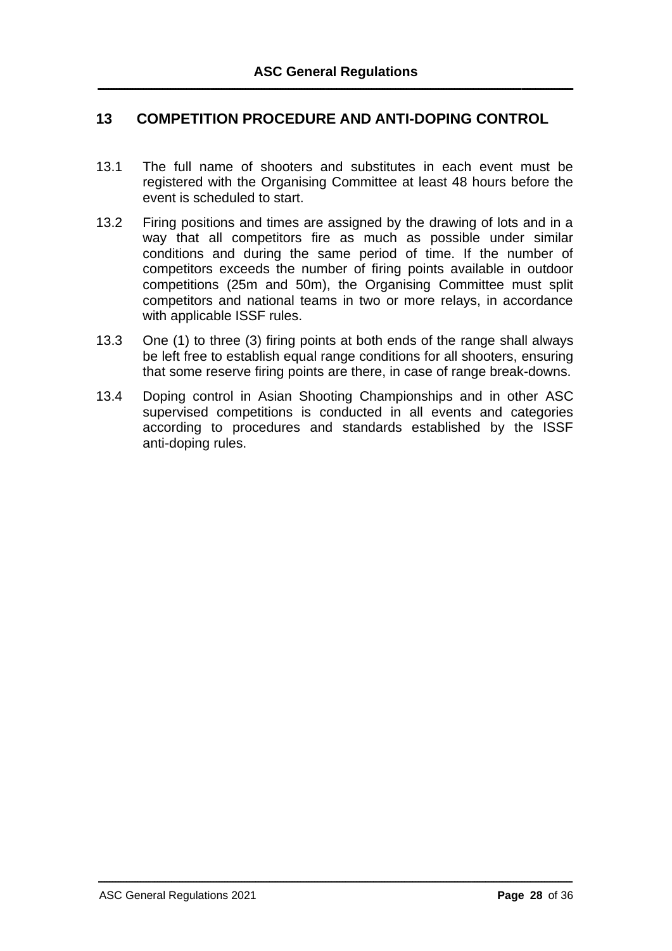# **13 COMPETITION PROCEDURE AND ANTI-DOPING CONTROL**

- 13.1 The full name of shooters and substitutes in each event must be registered with the Organising Committee at least 48 hours before the event is scheduled to start.
- 13.2 Firing positions and times are assigned by the drawing of lots and in a way that all competitors fire as much as possible under similar conditions and during the same period of time. If the number of competitors exceeds the number of firing points available in outdoor competitions (25m and 50m), the Organising Committee must split competitors and national teams in two or more relays, in accordance with applicable ISSF rules.
- 13.3 One (1) to three (3) firing points at both ends of the range shall always be left free to establish equal range conditions for all shooters, ensuring that some reserve firing points are there, in case of range break-downs.
- 13.4 Doping control in Asian Shooting Championships and in other ASC supervised competitions is conducted in all events and categories according to procedures and standards established by the ISSF anti-doping rules.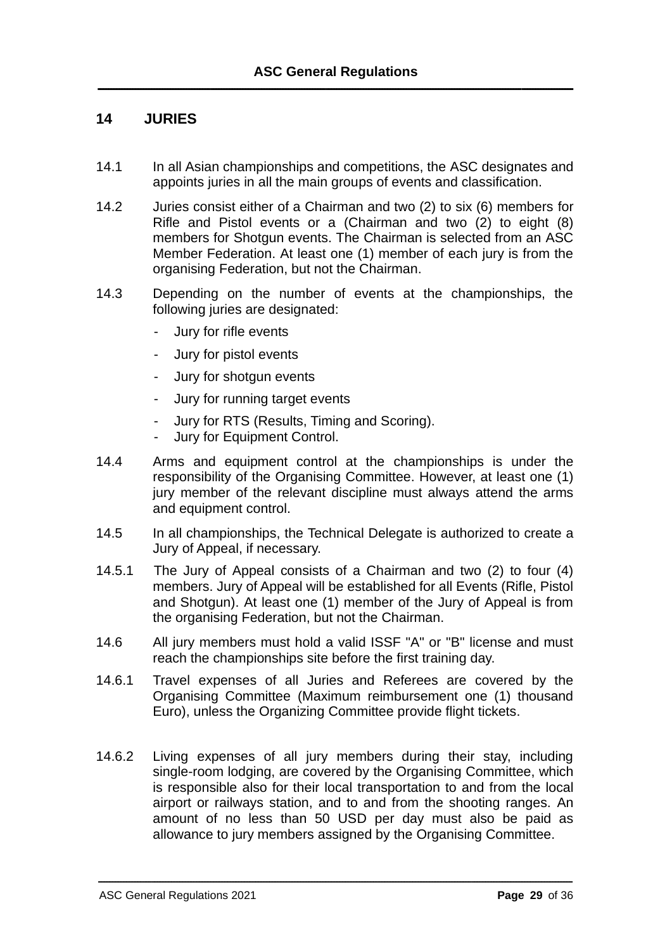# **14 JURIES**

- 14.1 In all Asian championships and competitions, the ASC designates and appoints juries in all the main groups of events and classification.
- 14.2 Juries consist either of a Chairman and two (2) to six (6) members for Rifle and Pistol events or a (Chairman and two (2) to eight (8) members for Shotgun events. The Chairman is selected from an ASC Member Federation. At least one (1) member of each jury is from the organising Federation, but not the Chairman.
- 14.3 Depending on the number of events at the championships, the following juries are designated:
	- Jury for rifle events
	- Jury for pistol events
	- Jury for shotgun events
	- Jury for running target events
	- Jury for RTS (Results, Timing and Scoring).
	- Jury for Equipment Control.
- 14.4 Arms and equipment control at the championships is under the responsibility of the Organising Committee. However, at least one (1) jury member of the relevant discipline must always attend the arms and equipment control.
- 14.5 In all championships, the Technical Delegate is authorized to create a Jury of Appeal, if necessary.
- 14.5.1 The Jury of Appeal consists of a Chairman and two (2) to four (4) members. Jury of Appeal will be established for all Events (Rifle, Pistol and Shotgun). At least one (1) member of the Jury of Appeal is from the organising Federation, but not the Chairman.
- 14.6 All jury members must hold a valid ISSF "A" or "B" license and must reach the championships site before the first training day.
- 14.6.1 Travel expenses of all Juries and Referees are covered by the Organising Committee (Maximum reimbursement one (1) thousand Euro), unless the Organizing Committee provide flight tickets.
- 14.6.2 Living expenses of all jury members during their stay, including single-room lodging, are covered by the Organising Committee, which is responsible also for their local transportation to and from the local airport or railways station, and to and from the shooting ranges. An amount of no less than 50 USD per day must also be paid as allowance to jury members assigned by the Organising Committee.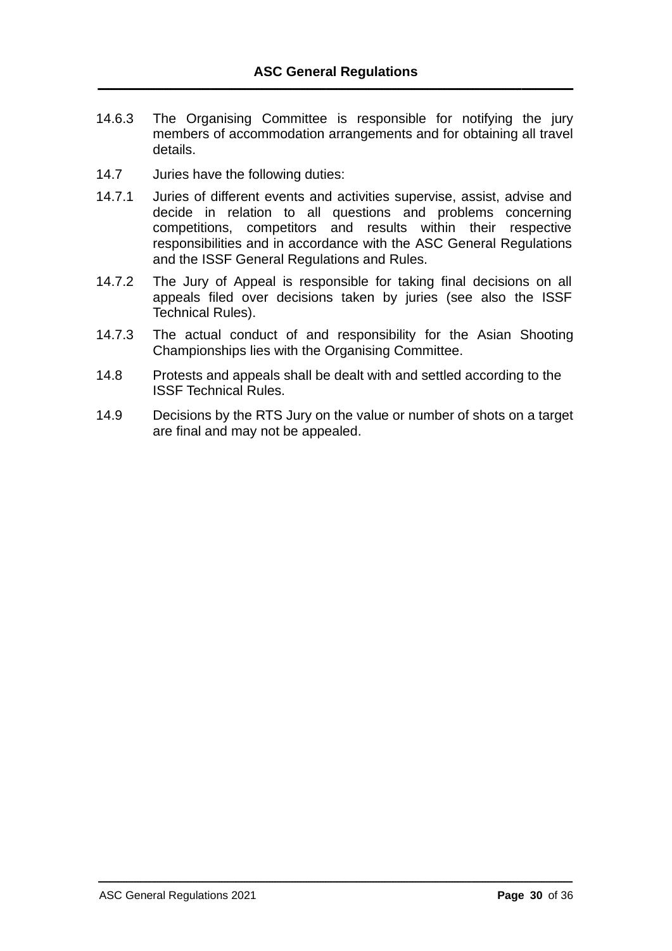- 14.6.3 The Organising Committee is responsible for notifying the jury members of accommodation arrangements and for obtaining all travel details.
- 14.7 Juries have the following duties:
- 14.7.1 Juries of different events and activities supervise, assist, advise and decide in relation to all questions and problems concerning competitions, competitors and results within their respective responsibilities and in accordance with the ASC General Regulations and the ISSF General Regulations and Rules.
- 14.7.2 The Jury of Appeal is responsible for taking final decisions on all appeals filed over decisions taken by juries (see also the ISSF Technical Rules).
- 14.7.3 The actual conduct of and responsibility for the Asian Shooting Championships lies with the Organising Committee.
- 14.8 Protests and appeals shall be dealt with and settled according to the ISSF Technical Rules.
- 14.9 Decisions by the RTS Jury on the value or number of shots on a target are final and may not be appealed.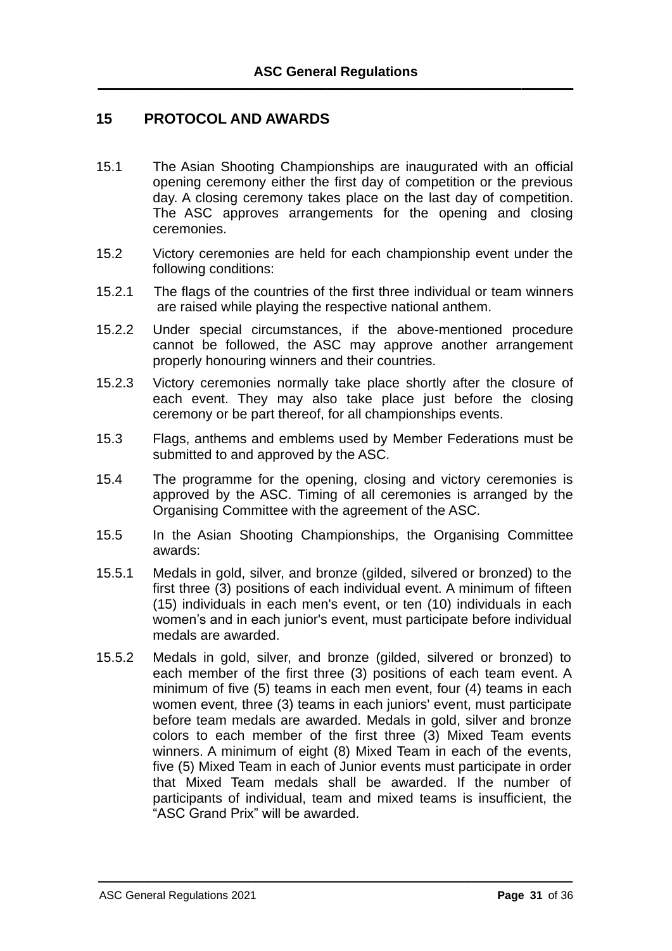# **15 PROTOCOL AND AWARDS**

- 15.1 The Asian Shooting Championships are inaugurated with an official opening ceremony either the first day of competition or the previous day. A closing ceremony takes place on the last day of competition. The ASC approves arrangements for the opening and closing ceremonies.
- 15.2 Victory ceremonies are held for each championship event under the following conditions:
- 15.2.1 The flags of the countries of the first three individual or team winners are raised while playing the respective national anthem.
- 15.2.2 Under special circumstances, if the above-mentioned procedure cannot be followed, the ASC may approve another arrangement properly honouring winners and their countries.
- 15.2.3 Victory ceremonies normally take place shortly after the closure of each event. They may also take place just before the closing ceremony or be part thereof, for all championships events.
- 15.3 Flags, anthems and emblems used by Member Federations must be submitted to and approved by the ASC.
- 15.4 The programme for the opening, closing and victory ceremonies is approved by the ASC. Timing of all ceremonies is arranged by the Organising Committee with the agreement of the ASC.
- 15.5 In the Asian Shooting Championships, the Organising Committee awards:
- 15.5.1 Medals in gold, silver, and bronze (gilded, silvered or bronzed) to the first three (3) positions of each individual event. A minimum of fifteen (15) individuals in each men's event, or ten (10) individuals in each women's and in each junior's event, must participate before individual medals are awarded.
- 15.5.2 Medals in gold, silver, and bronze (gilded, silvered or bronzed) to each member of the first three (3) positions of each team event. A minimum of five (5) teams in each men event, four (4) teams in each women event, three (3) teams in each juniors' event, must participate before team medals are awarded. Medals in gold, silver and bronze colors to each member of the first three (3) Mixed Team events winners. A minimum of eight (8) Mixed Team in each of the events, five (5) Mixed Team in each of Junior events must participate in order that Mixed Team medals shall be awarded. If the number of participants of individual, team and mixed teams is insufficient, the "ASC Grand Prix" will be awarded.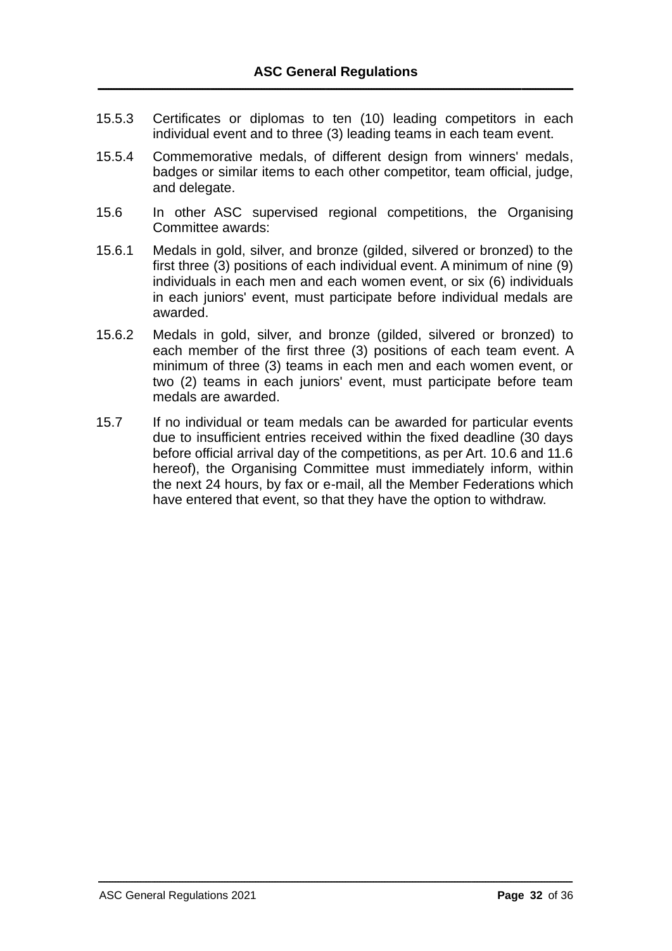- 15.5.3 Certificates or diplomas to ten (10) leading competitors in each individual event and to three (3) leading teams in each team event.
- 15.5.4 Commemorative medals, of different design from winners' medals, badges or similar items to each other competitor, team official, judge, and delegate.
- 15.6 In other ASC supervised regional competitions, the Organising Committee awards:
- 15.6.1 Medals in gold, silver, and bronze (gilded, silvered or bronzed) to the first three (3) positions of each individual event. A minimum of nine (9) individuals in each men and each women event, or six (6) individuals in each juniors' event, must participate before individual medals are awarded.
- 15.6.2 Medals in gold, silver, and bronze (gilded, silvered or bronzed) to each member of the first three (3) positions of each team event. A minimum of three (3) teams in each men and each women event, or two (2) teams in each juniors' event, must participate before team medals are awarded.
- 15.7 If no individual or team medals can be awarded for particular events due to insufficient entries received within the fixed deadline (30 days before official arrival day of the competitions, as per Art. 10.6 and 11.6 hereof), the Organising Committee must immediately inform, within the next 24 hours, by fax or e-mail, all the Member Federations which have entered that event, so that they have the option to withdraw.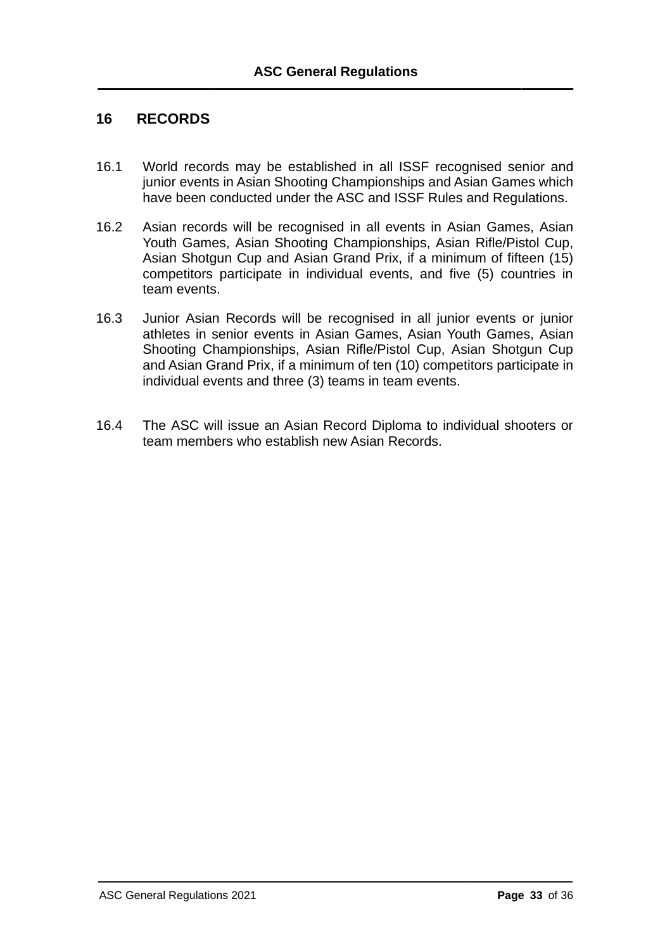# **16 RECORDS**

- 16.1 World records may be established in all ISSF recognised senior and junior events in Asian Shooting Championships and Asian Games which have been conducted under the ASC and ISSF Rules and Regulations.
- 16.2 Asian records will be recognised in all events in Asian Games, Asian Youth Games, Asian Shooting Championships, Asian Rifle/Pistol Cup, Asian Shotgun Cup and Asian Grand Prix, if a minimum of fifteen (15) competitors participate in individual events, and five (5) countries in team events.
- 16.3 Junior Asian Records will be recognised in all junior events or junior athletes in senior events in Asian Games, Asian Youth Games, Asian Shooting Championships, Asian Rifle/Pistol Cup, Asian Shotgun Cup and Asian Grand Prix, if a minimum of ten (10) competitors participate in individual events and three (3) teams in team events.
- 16.4 The ASC will issue an Asian Record Diploma to individual shooters or team members who establish new Asian Records.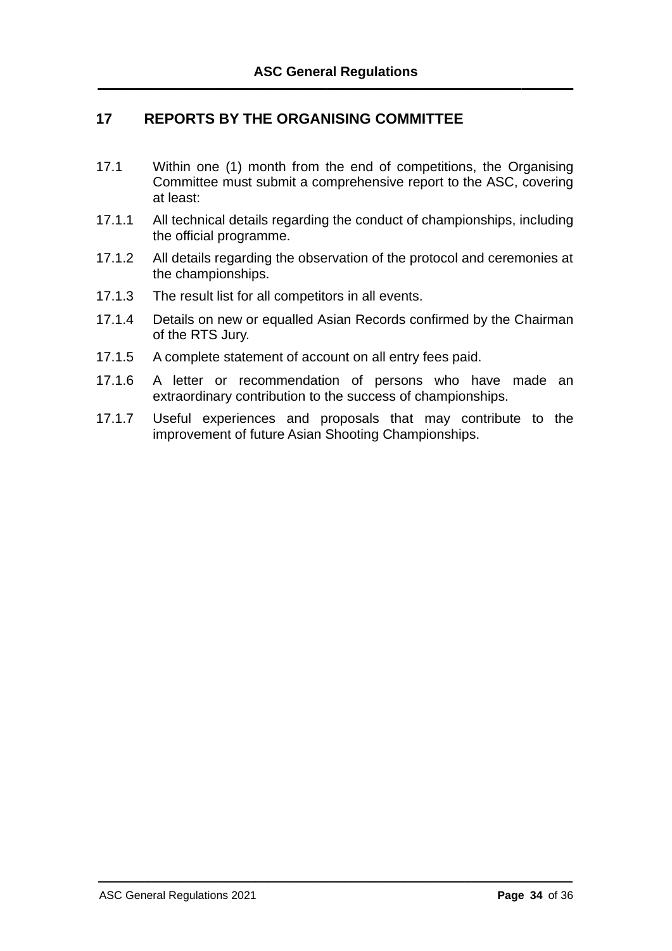# **17 REPORTS BY THE ORGANISING COMMITTEE**

- 17.1 Within one (1) month from the end of competitions, the Organising Committee must submit a comprehensive report to the ASC, covering at least:
- 17.1.1 All technical details regarding the conduct of championships, including the official programme.
- 17.1.2 All details regarding the observation of the protocol and ceremonies at the championships.
- 17.1.3 The result list for all competitors in all events.
- 17.1.4 Details on new or equalled Asian Records confirmed by the Chairman of the RTS Jury.
- 17.1.5 A complete statement of account on all entry fees paid.
- 17.1.6 A letter or recommendation of persons who have made an extraordinary contribution to the success of championships.
- 17.1.7 Useful experiences and proposals that may contribute to the improvement of future Asian Shooting Championships.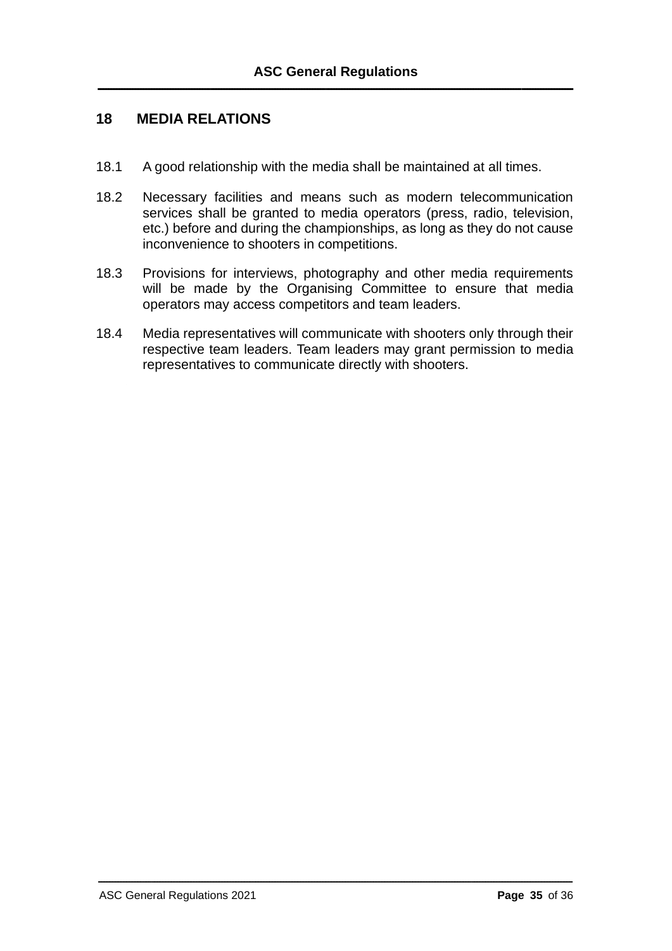# **18 MEDIA RELATIONS**

- 18.1 A good relationship with the media shall be maintained at all times.
- 18.2 Necessary facilities and means such as modern telecommunication services shall be granted to media operators (press, radio, television, etc.) before and during the championships, as long as they do not cause inconvenience to shooters in competitions.
- 18.3 Provisions for interviews, photography and other media requirements will be made by the Organising Committee to ensure that media operators may access competitors and team leaders.
- 18.4 Media representatives will communicate with shooters only through their respective team leaders. Team leaders may grant permission to media representatives to communicate directly with shooters.